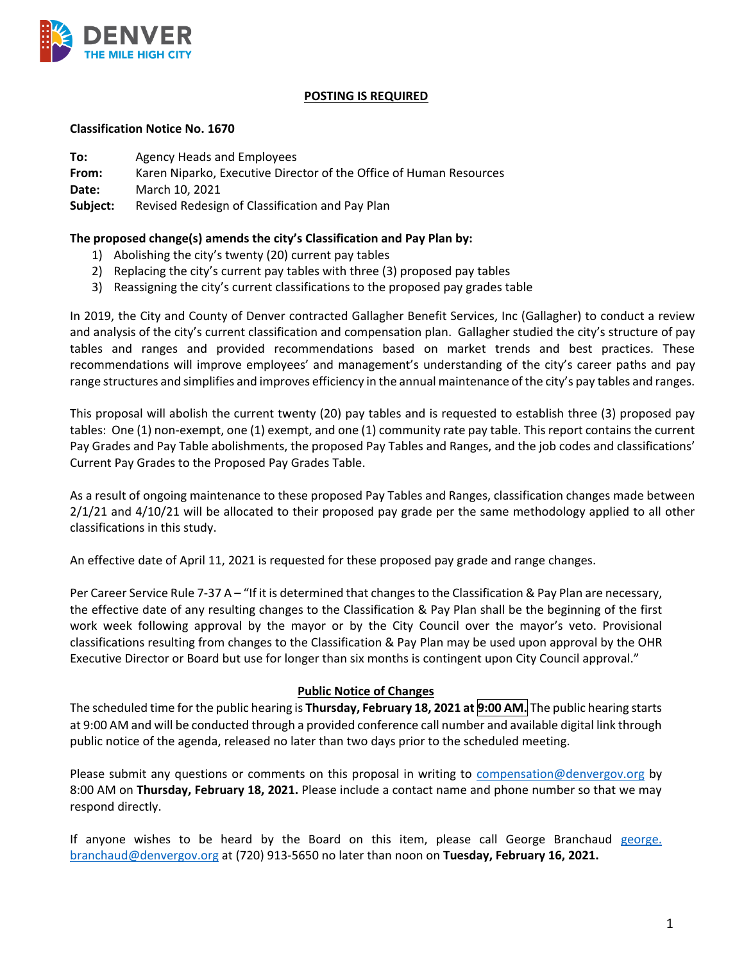

### **POSTING IS REQUIRED**

#### **Classification Notice No. 1670**

**To:** Agency Heads and Employees

**From:** Karen Niparko, Executive Director of the Office of Human Resources

**Date:** March 10, 2021

**Subject:** Revised Redesign of Classification and Pay Plan

### **The proposed change(s) amends the city's Classification and Pay Plan by:**

- 1) Abolishing the city's twenty (20) current pay tables
- 2) Replacing the city's current pay tables with three (3) proposed pay tables
- 3) Reassigning the city's current classifications to the proposed pay grades table

In 2019, the City and County of Denver contracted Gallagher Benefit Services, Inc (Gallagher) to conduct a review and analysis of the city's current classification and compensation plan. Gallagher studied the city's structure of pay tables and ranges and provided recommendations based on market trends and best practices. These recommendations will improve employees' and management's understanding of the city's career paths and pay range structures and simplifies and improves efficiency in the annual maintenance of the city's pay tables and ranges.

This proposal will abolish the current twenty (20) pay tables and is requested to establish three (3) proposed pay tables: One (1) non-exempt, one (1) exempt, and one (1) community rate pay table. This report contains the current Pay Grades and Pay Table abolishments, the proposed Pay Tables and Ranges, and the job codes and classifications' Current Pay Grades to the Proposed Pay Grades Table.

As a result of ongoing maintenance to these proposed Pay Tables and Ranges, classification changes made between 2/1/21 and 4/10/21 will be allocated to their proposed pay grade per the same methodology applied to all other classifications in this study.

An effective date of April 11, 2021 is requested for these proposed pay grade and range changes.

Per Career Service Rule 7-37 A – "If it is determined that changes to the Classification & Pay Plan are necessary, the effective date of any resulting changes to the Classification & Pay Plan shall be the beginning of the first work week following approval by the mayor or by the City Council over the mayor's veto. Provisional classifications resulting from changes to the Classification & Pay Plan may be used upon approval by the OHR Executive Director or Board but use for longer than six months is contingent upon City Council approval."

#### **Public Notice of Changes**

The scheduled time for the public hearing is **Thursday, February 18, 2021 at 9:00 AM.** The public hearing starts at 9:00 AM and will be conducted through a provided conference call number and available digital link through public notice of the agenda, released no later than two days prior to the scheduled meeting.

Please submit any questions or comments on this proposal in writing to [compensation@denvergov.org](mailto:compensation@denvergov.org) by 8:00 AM on **Thursday, February 18, 2021.** Please include a contact name and phone number so that we may respond directly.

If anyone wishes to be heard by the Board on this item, please call George Branchaud [george.](mailto:george.%20branchaud@denvergov.org)  [branchaud@denvergov.org](mailto:george.%20branchaud@denvergov.org) at (720) 913-5650 no later than noon on **Tuesday, February 16, 2021.**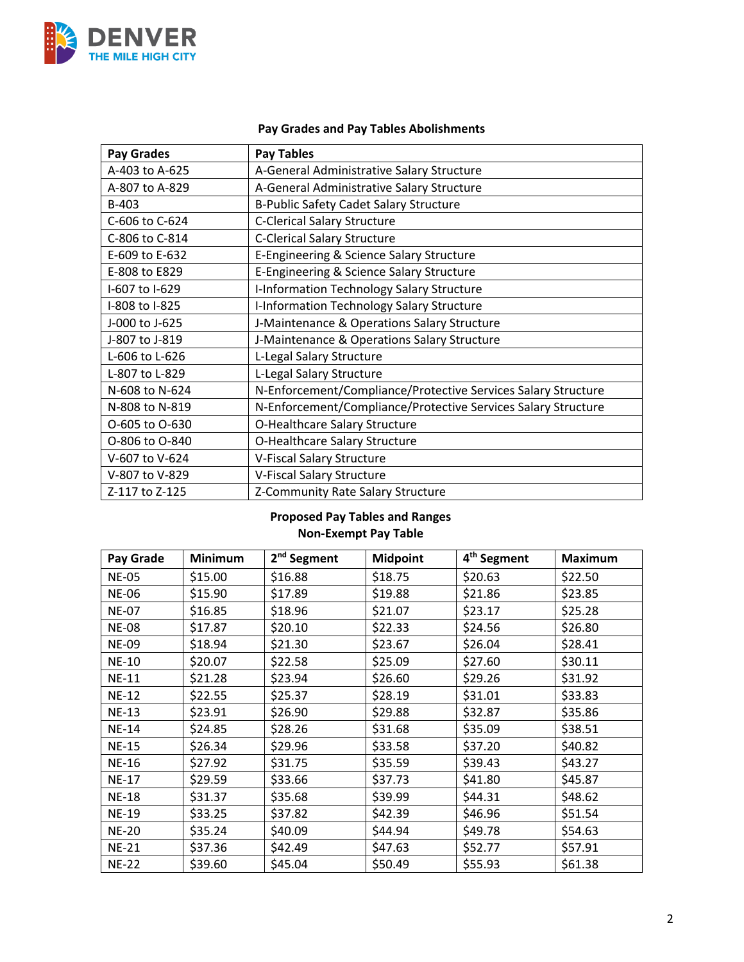

# **Pay Grades and Pay Tables Abolishments**

| <b>Pay Grades</b> | <b>Pay Tables</b>                                             |
|-------------------|---------------------------------------------------------------|
| A-403 to A-625    | A-General Administrative Salary Structure                     |
| A-807 to A-829    | A-General Administrative Salary Structure                     |
| B-403             | B-Public Safety Cadet Salary Structure                        |
| C-606 to C-624    | <b>C-Clerical Salary Structure</b>                            |
| C-806 to C-814    | <b>C-Clerical Salary Structure</b>                            |
| E-609 to E-632    | E-Engineering & Science Salary Structure                      |
| E-808 to E829     | E-Engineering & Science Salary Structure                      |
| I-607 to I-629    | I-Information Technology Salary Structure                     |
| I-808 to I-825    | I-Information Technology Salary Structure                     |
| J-000 to J-625    | J-Maintenance & Operations Salary Structure                   |
| J-807 to J-819    | J-Maintenance & Operations Salary Structure                   |
| L-606 to L-626    | L-Legal Salary Structure                                      |
| L-807 to L-829    | L-Legal Salary Structure                                      |
| N-608 to N-624    | N-Enforcement/Compliance/Protective Services Salary Structure |
| N-808 to N-819    | N-Enforcement/Compliance/Protective Services Salary Structure |
| O-605 to O-630    | O-Healthcare Salary Structure                                 |
| O-806 to O-840    | O-Healthcare Salary Structure                                 |
| V-607 to V-624    | V-Fiscal Salary Structure                                     |
| V-807 to V-829    | V-Fiscal Salary Structure                                     |
| Z-117 to Z-125    | Z-Community Rate Salary Structure                             |

## **Proposed Pay Tables and Ranges Non-Exempt Pay Table**

| Pay Grade    | <b>Minimum</b> | 2 <sup>nd</sup> Segment | <b>Midpoint</b> | 4 <sup>th</sup> Segment | <b>Maximum</b> |
|--------------|----------------|-------------------------|-----------------|-------------------------|----------------|
| <b>NE-05</b> | \$15.00        | \$16.88                 | \$18.75         | \$20.63                 | \$22.50        |
| <b>NE-06</b> | \$15.90        | \$17.89                 | \$19.88         | \$21.86                 | \$23.85        |
| <b>NE-07</b> | \$16.85        | \$18.96                 | \$21.07         | \$23.17                 | \$25.28        |
| <b>NE-08</b> | \$17.87        | \$20.10                 | \$22.33         | \$24.56                 | \$26.80        |
| <b>NE-09</b> | \$18.94        | \$21.30                 | \$23.67         | \$26.04                 | \$28.41        |
| <b>NE-10</b> | \$20.07        | \$22.58                 | \$25.09         | \$27.60                 | \$30.11        |
| <b>NE-11</b> | \$21.28        | \$23.94                 | \$26.60         | \$29.26                 | \$31.92        |
| <b>NE-12</b> | \$22.55        | \$25.37                 | \$28.19         | \$31.01                 | \$33.83        |
| <b>NE-13</b> | \$23.91        | \$26.90                 | \$29.88         | \$32.87                 | \$35.86        |
| <b>NE-14</b> | \$24.85        | \$28.26                 | \$31.68         | \$35.09                 | \$38.51        |
| <b>NE-15</b> | \$26.34        | \$29.96                 | \$33.58         | \$37.20                 | \$40.82        |
| <b>NE-16</b> | \$27.92        | \$31.75                 | \$35.59         | \$39.43                 | \$43.27        |
| <b>NE-17</b> | \$29.59        | \$33.66                 | \$37.73         | \$41.80                 | \$45.87        |
| <b>NE-18</b> | \$31.37        | \$35.68                 | \$39.99         | \$44.31                 | \$48.62        |
| <b>NE-19</b> | \$33.25        | \$37.82                 | \$42.39         | \$46.96                 | \$51.54        |
| <b>NE-20</b> | \$35.24        | \$40.09                 | \$44.94         | \$49.78                 | \$54.63        |
| <b>NE-21</b> | \$37.36        | \$42.49                 | \$47.63         | \$52.77                 | \$57.91        |
| <b>NE-22</b> | \$39.60        | \$45.04                 | \$50.49         | \$55.93                 | \$61.38        |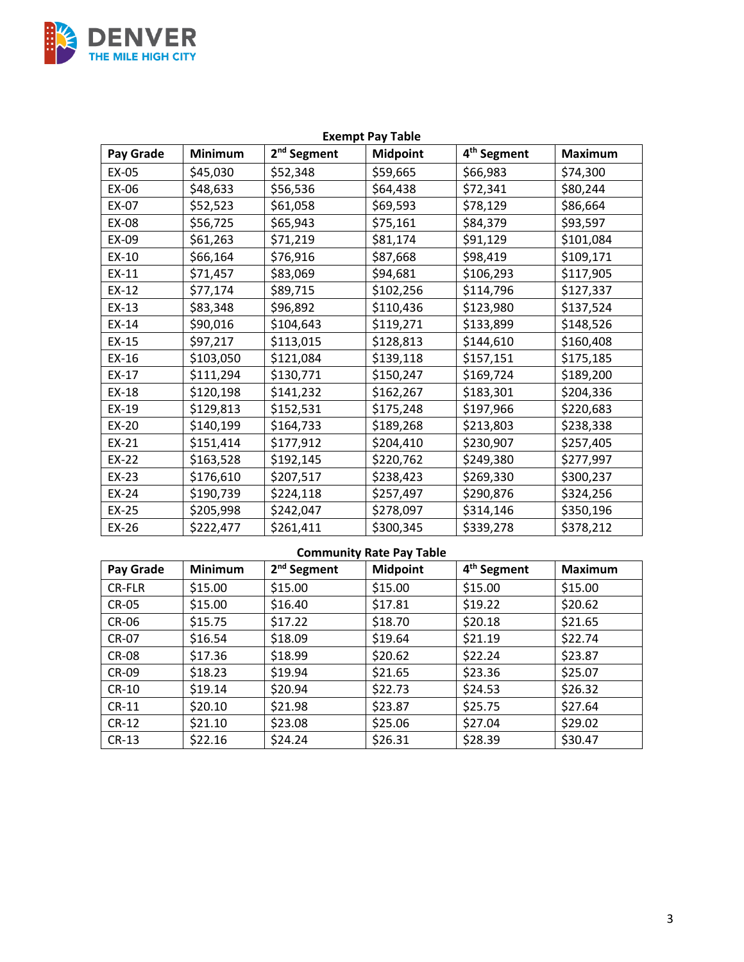

| <b>Exempt Pay Table</b> |                |                         |                 |                         |                |
|-------------------------|----------------|-------------------------|-----------------|-------------------------|----------------|
| Pay Grade               | <b>Minimum</b> | 2 <sup>nd</sup> Segment | <b>Midpoint</b> | 4 <sup>th</sup> Segment | <b>Maximum</b> |
| EX-05                   | \$45,030       | \$52,348                | \$59,665        | \$66,983                | \$74,300       |
| EX-06                   | \$48,633       | \$56,536                | \$64,438        | \$72,341                | \$80,244       |
| EX-07                   | \$52,523       | \$61,058                | \$69,593        | \$78,129                | \$86,664       |
| EX-08                   | \$56,725       | \$65,943                | \$75,161        | \$84,379                | \$93,597       |
| EX-09                   | \$61,263       | \$71,219                | \$81,174        | \$91,129                | \$101,084      |
| EX-10                   | \$66,164       | \$76,916                | \$87,668        | \$98,419                | \$109,171      |
| EX-11                   | \$71,457       | \$83,069                | \$94,681        | \$106,293               | \$117,905      |
| EX-12                   | \$77,174       | \$89,715                | \$102,256       | \$114,796               | \$127,337      |
| $EX-13$                 | \$83,348       | \$96,892                | \$110,436       | \$123,980               | \$137,524      |
| EX-14                   | \$90,016       | \$104,643               | \$119,271       | \$133,899               | \$148,526      |
| EX-15                   | \$97,217       | \$113,015               | \$128,813       | \$144,610               | \$160,408      |
| $EX-16$                 | \$103,050      | \$121,084               | \$139,118       | \$157,151               | \$175,185      |
| EX-17                   | \$111,294      | \$130,771               | \$150,247       | \$169,724               | \$189,200      |
| EX-18                   | \$120,198      | \$141,232               | \$162,267       | \$183,301               | \$204,336      |
| EX-19                   | \$129,813      | \$152,531               | \$175,248       | \$197,966               | \$220,683      |
| EX-20                   | \$140,199      | \$164,733               | \$189,268       | \$213,803               | \$238,338      |
| EX-21                   | \$151,414      | \$177,912               | \$204,410       | \$230,907               | \$257,405      |
| EX-22                   | \$163,528      | \$192,145               | \$220,762       | \$249,380               | \$277,997      |
| EX-23                   | \$176,610      | \$207,517               | \$238,423       | \$269,330               | \$300,237      |
| EX-24                   | \$190,739      | \$224,118               | \$257,497       | \$290,876               | \$324,256      |
| EX-25                   | \$205,998      | \$242,047               | \$278,097       | \$314,146               | \$350,196      |
| EX-26                   | \$222,477      | \$261,411               | \$300,345       | \$339,278               | \$378,212      |

# **Community Rate Pay Table**

| Pay Grade     | <b>Minimum</b> | 2 <sup>nd</sup> Segment | <b>Midpoint</b> | 4 <sup>th</sup> Segment | <b>Maximum</b> |
|---------------|----------------|-------------------------|-----------------|-------------------------|----------------|
| <b>CR-FLR</b> | \$15.00        | \$15.00                 | \$15.00         | \$15.00                 | \$15.00        |
| <b>CR-05</b>  | \$15.00        | \$16.40                 | \$17.81         | \$19.22                 | \$20.62        |
| <b>CR-06</b>  | \$15.75        | \$17.22                 | \$18.70         | \$20.18                 | \$21.65        |
| <b>CR-07</b>  | \$16.54        | \$18.09                 | \$19.64         | \$21.19                 | \$22.74        |
| <b>CR-08</b>  | \$17.36        | \$18.99                 | \$20.62         | \$22.24                 | \$23.87        |
| <b>CR-09</b>  | \$18.23        | \$19.94                 | \$21.65         | \$23.36                 | \$25.07        |
| CR-10         | \$19.14        | \$20.94                 | \$22.73         | \$24.53                 | \$26.32        |
| $CR-11$       | \$20.10        | \$21.98                 | \$23.87         | \$25.75                 | \$27.64        |
| $CR-12$       | \$21.10        | \$23.08                 | \$25.06         | \$27.04                 | \$29.02        |
| $CR-13$       | \$22.16        | \$24.24                 | \$26.31         | \$28.39                 | \$30.47        |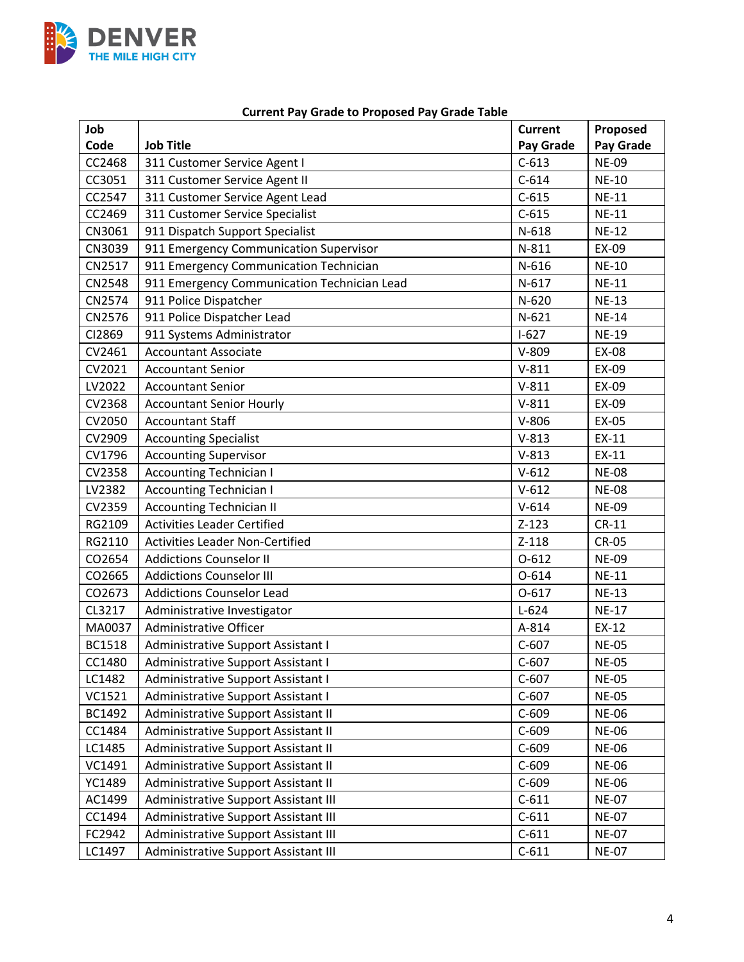

| Job           |                                             | <b>Current</b> | Proposed     |
|---------------|---------------------------------------------|----------------|--------------|
| Code          | <b>Job Title</b>                            | Pay Grade      | Pay Grade    |
| CC2468        | 311 Customer Service Agent I                | $C-613$        | <b>NE-09</b> |
| CC3051        | 311 Customer Service Agent II               | $C-614$        | <b>NE-10</b> |
| CC2547        | 311 Customer Service Agent Lead             | $C-615$        | <b>NE-11</b> |
| CC2469        | 311 Customer Service Specialist             | $C-615$        | <b>NE-11</b> |
| CN3061        | 911 Dispatch Support Specialist             | $N-618$        | <b>NE-12</b> |
| CN3039        | 911 Emergency Communication Supervisor      | N-811          | EX-09        |
| CN2517        | 911 Emergency Communication Technician      | $N-616$        | <b>NE-10</b> |
| CN2548        | 911 Emergency Communication Technician Lead | $N-617$        | <b>NE-11</b> |
| CN2574        | 911 Police Dispatcher                       | $N-620$        | <b>NE-13</b> |
| CN2576        | 911 Police Dispatcher Lead                  | $N-621$        | <b>NE-14</b> |
| CI2869        | 911 Systems Administrator                   | $I-627$        | <b>NE-19</b> |
| CV2461        | <b>Accountant Associate</b>                 | $V-809$        | EX-08        |
| CV2021        | <b>Accountant Senior</b>                    | $V-811$        | EX-09        |
| LV2022        | <b>Accountant Senior</b>                    | $V-811$        | EX-09        |
| CV2368        | <b>Accountant Senior Hourly</b>             | $V-811$        | EX-09        |
| CV2050        | <b>Accountant Staff</b>                     | $V-806$        | EX-05        |
| CV2909        | <b>Accounting Specialist</b>                | $V-813$        | EX-11        |
| CV1796        | <b>Accounting Supervisor</b>                | $V-813$        | EX-11        |
| CV2358        | <b>Accounting Technician I</b>              | $V-612$        | <b>NE-08</b> |
| LV2382        | <b>Accounting Technician I</b>              | $V-612$        | <b>NE-08</b> |
| CV2359        | <b>Accounting Technician II</b>             | $V-614$        | <b>NE-09</b> |
| RG2109        | <b>Activities Leader Certified</b>          | $Z-123$        | $CR-11$      |
| RG2110        | <b>Activities Leader Non-Certified</b>      | $Z-118$        | <b>CR-05</b> |
| CO2654        | <b>Addictions Counselor II</b>              | $O-612$        | <b>NE-09</b> |
| CO2665        | <b>Addictions Counselor III</b>             | $O-614$        | <b>NE-11</b> |
| CO2673        | <b>Addictions Counselor Lead</b>            | $0 - 617$      | <b>NE-13</b> |
| CL3217        | Administrative Investigator                 | $L-624$        | <b>NE-17</b> |
| MA0037        | Administrative Officer                      | A-814          | EX-12        |
| <b>BC1518</b> | Administrative Support Assistant I          | $C-607$        | <b>NE-05</b> |
| CC1480        | Administrative Support Assistant I          | $C-607$        | <b>NE-05</b> |
| LC1482        | Administrative Support Assistant I          | $C-607$        | <b>NE-05</b> |
| VC1521        | Administrative Support Assistant I          | $C-607$        | <b>NE-05</b> |
| BC1492        | Administrative Support Assistant II         | $C-609$        | <b>NE-06</b> |
| CC1484        | Administrative Support Assistant II         | $C-609$        | <b>NE-06</b> |
| LC1485        | Administrative Support Assistant II         | $C-609$        | <b>NE-06</b> |
| VC1491        | Administrative Support Assistant II         | $C-609$        | <b>NE-06</b> |
| YC1489        | Administrative Support Assistant II         | $C-609$        | <b>NE-06</b> |
| AC1499        | Administrative Support Assistant III        | $C-611$        | <b>NE-07</b> |
| CC1494        | Administrative Support Assistant III        | $C-611$        | <b>NE-07</b> |
| FC2942        | Administrative Support Assistant III        | $C-611$        | <b>NE-07</b> |
| LC1497        | Administrative Support Assistant III        | $C-611$        | <b>NE-07</b> |

### **Current Pay Grade to Proposed Pay Grade Table**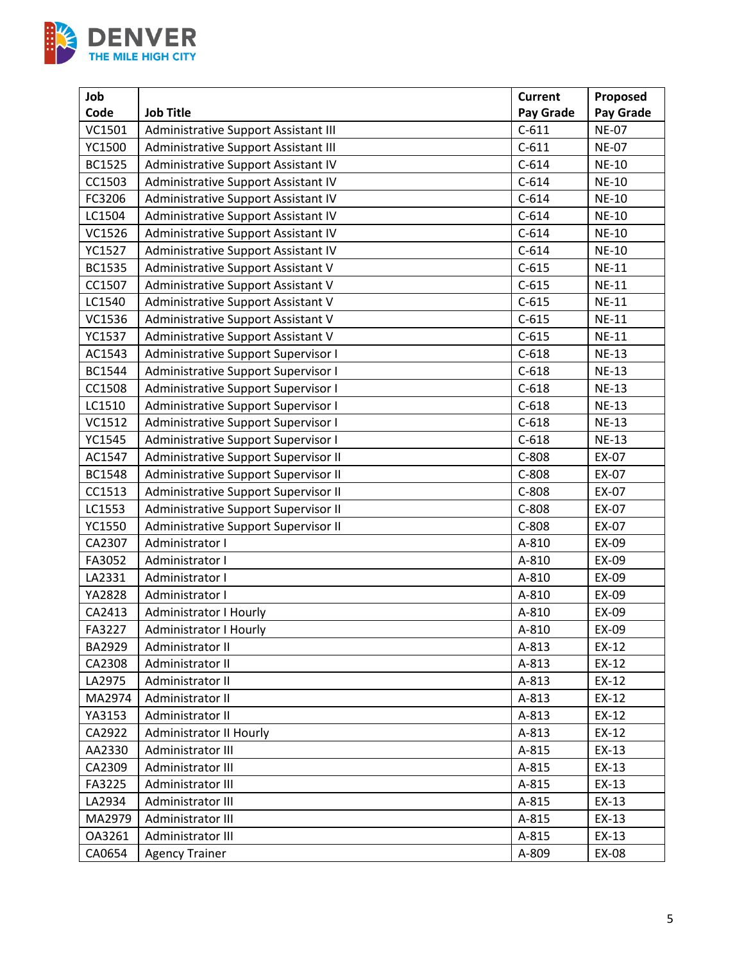

| Job           |                                            | <b>Current</b> | Proposed     |
|---------------|--------------------------------------------|----------------|--------------|
| Code          | <b>Job Title</b>                           | Pay Grade      | Pay Grade    |
| VC1501        | Administrative Support Assistant III       | $C-611$        | <b>NE-07</b> |
| YC1500        | Administrative Support Assistant III       | $C-611$        | <b>NE-07</b> |
| <b>BC1525</b> | Administrative Support Assistant IV        | $C-614$        | <b>NE-10</b> |
| CC1503        | Administrative Support Assistant IV        | $C-614$        | <b>NE-10</b> |
| FC3206        | Administrative Support Assistant IV        | $C-614$        | <b>NE-10</b> |
| LC1504        | Administrative Support Assistant IV        | $C-614$        | <b>NE-10</b> |
| VC1526        | Administrative Support Assistant IV        | $C-614$        | <b>NE-10</b> |
| YC1527        | Administrative Support Assistant IV        | $C-614$        | <b>NE-10</b> |
| <b>BC1535</b> | Administrative Support Assistant V         | $C-615$        | <b>NE-11</b> |
| CC1507        | Administrative Support Assistant V         | $C-615$        | <b>NE-11</b> |
| LC1540        | Administrative Support Assistant V         | $C-615$        | <b>NE-11</b> |
| VC1536        | Administrative Support Assistant V         | $C-615$        | <b>NE-11</b> |
| YC1537        | Administrative Support Assistant V         | $C-615$        | <b>NE-11</b> |
| AC1543        | Administrative Support Supervisor I        | $C-618$        | <b>NE-13</b> |
| <b>BC1544</b> | <b>Administrative Support Supervisor I</b> | $C-618$        | <b>NE-13</b> |
| CC1508        | Administrative Support Supervisor I        | $C-618$        | <b>NE-13</b> |
| LC1510        | <b>Administrative Support Supervisor I</b> | $C-618$        | <b>NE-13</b> |
| VC1512        | Administrative Support Supervisor I        | $C-618$        | <b>NE-13</b> |
| YC1545        | Administrative Support Supervisor I        | $C-618$        | <b>NE-13</b> |
| AC1547        | Administrative Support Supervisor II       | $C-808$        | EX-07        |
| <b>BC1548</b> | Administrative Support Supervisor II       | $C-808$        | EX-07        |
| CC1513        | Administrative Support Supervisor II       | $C-808$        | EX-07        |
| LC1553        | Administrative Support Supervisor II       | $C-808$        | EX-07        |
| YC1550        | Administrative Support Supervisor II       | $C-808$        | EX-07        |
| CA2307        | Administrator I                            | A-810          | EX-09        |
| FA3052        | Administrator I                            | A-810          | EX-09        |
| LA2331        | Administrator I                            | A-810          | EX-09        |
| YA2828        | Administrator I                            | A-810          | EX-09        |
| CA2413        | <b>Administrator I Hourly</b>              | A-810          | EX-09        |
| FA3227        | <b>Administrator I Hourly</b>              | A-810          | EX-09        |
| <b>BA2929</b> | Administrator II                           | A-813          | $EX-12$      |
| CA2308        | Administrator II                           | A-813          | EX-12        |
| LA2975        | Administrator II                           | A-813          | $EX-12$      |
| MA2974        | Administrator II                           | A-813          | EX-12        |
| YA3153        | Administrator II                           | A-813          | EX-12        |
| CA2922        | Administrator II Hourly                    | A-813          | EX-12        |
| AA2330        | Administrator III                          | A-815          | EX-13        |
| CA2309        | Administrator III                          | A-815          | $EX-13$      |
| FA3225        | Administrator III                          | A-815          | $EX-13$      |
| LA2934        | Administrator III                          | A-815          | $EX-13$      |
| MA2979        | Administrator III                          | A-815          | $EX-13$      |
| OA3261        | Administrator III                          | A-815          | $EX-13$      |
| CA0654        | <b>Agency Trainer</b>                      | A-809          | EX-08        |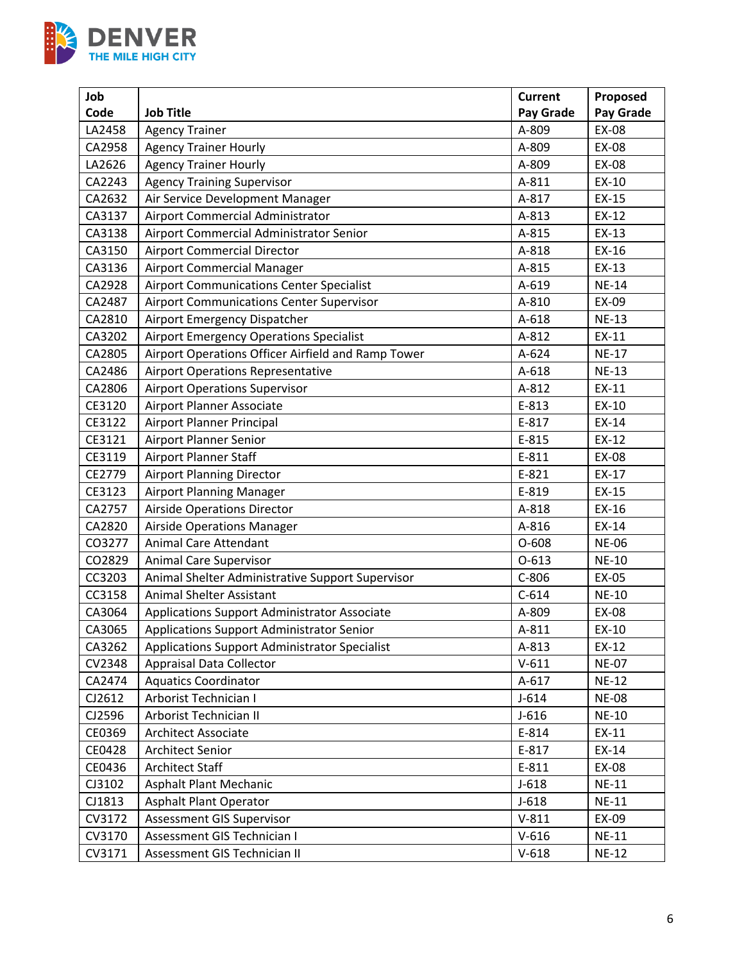

| Job    |                                                    | <b>Current</b> | Proposed     |
|--------|----------------------------------------------------|----------------|--------------|
| Code   | <b>Job Title</b>                                   | Pay Grade      | Pay Grade    |
| LA2458 | <b>Agency Trainer</b>                              | A-809          | EX-08        |
| CA2958 | <b>Agency Trainer Hourly</b>                       | A-809          | EX-08        |
| LA2626 | <b>Agency Trainer Hourly</b>                       | A-809          | EX-08        |
| CA2243 | <b>Agency Training Supervisor</b>                  | A-811          | EX-10        |
| CA2632 | Air Service Development Manager                    | A-817          | EX-15        |
| CA3137 | Airport Commercial Administrator                   | A-813          | EX-12        |
| CA3138 | Airport Commercial Administrator Senior            | A-815          | EX-13        |
| CA3150 | <b>Airport Commercial Director</b>                 | A-818          | EX-16        |
| CA3136 | Airport Commercial Manager                         | A-815          | EX-13        |
| CA2928 | <b>Airport Communications Center Specialist</b>    | A-619          | <b>NE-14</b> |
| CA2487 | <b>Airport Communications Center Supervisor</b>    | A-810          | EX-09        |
| CA2810 | Airport Emergency Dispatcher                       | A-618          | <b>NE-13</b> |
| CA3202 | <b>Airport Emergency Operations Specialist</b>     | A-812          | EX-11        |
| CA2805 | Airport Operations Officer Airfield and Ramp Tower | A-624          | <b>NE-17</b> |
| CA2486 | <b>Airport Operations Representative</b>           | A-618          | <b>NE-13</b> |
| CA2806 | <b>Airport Operations Supervisor</b>               | A-812          | EX-11        |
| CE3120 | Airport Planner Associate                          | E-813          | EX-10        |
| CE3122 | Airport Planner Principal                          | E-817          | EX-14        |
| CE3121 | <b>Airport Planner Senior</b>                      | E-815          | EX-12        |
| CE3119 | Airport Planner Staff                              | E-811          | EX-08        |
| CE2779 | <b>Airport Planning Director</b>                   | E-821          | EX-17        |
| CE3123 | <b>Airport Planning Manager</b>                    | E-819          | EX-15        |
| CA2757 | <b>Airside Operations Director</b>                 | A-818          | EX-16        |
| CA2820 | <b>Airside Operations Manager</b>                  | A-816          | EX-14        |
| CO3277 | Animal Care Attendant                              | $O-608$        | <b>NE-06</b> |
| CO2829 | Animal Care Supervisor                             | $O-613$        | <b>NE-10</b> |
| CC3203 | Animal Shelter Administrative Support Supervisor   | $C-806$        | EX-05        |
| CC3158 | <b>Animal Shelter Assistant</b>                    | $C-614$        | <b>NE-10</b> |
| CA3064 | Applications Support Administrator Associate       | A-809          | EX-08        |
| CA3065 | Applications Support Administrator Senior          | A-811          | EX-10        |
| CA3262 | Applications Support Administrator Specialist      | A-813          | EX-12        |
| CV2348 | <b>Appraisal Data Collector</b>                    | $V-611$        | <b>NE-07</b> |
| CA2474 | <b>Aquatics Coordinator</b>                        | $A-617$        | <b>NE-12</b> |
| CJ2612 | Arborist Technician I                              | $J-614$        | <b>NE-08</b> |
| CJ2596 | Arborist Technician II                             | $J-616$        | <b>NE-10</b> |
| CE0369 | <b>Architect Associate</b>                         | E-814          | EX-11        |
| CE0428 | <b>Architect Senior</b>                            | E-817          | EX-14        |
| CE0436 | <b>Architect Staff</b>                             | E-811          | EX-08        |
| CJ3102 | Asphalt Plant Mechanic                             | $J-618$        | <b>NE-11</b> |
| CJ1813 | <b>Asphalt Plant Operator</b>                      | $J-618$        | <b>NE-11</b> |
| CV3172 | Assessment GIS Supervisor                          | $V-811$        | EX-09        |
| CV3170 | Assessment GIS Technician I                        | $V-616$        | <b>NE-11</b> |
| CV3171 | Assessment GIS Technician II                       | $V-618$        | <b>NE-12</b> |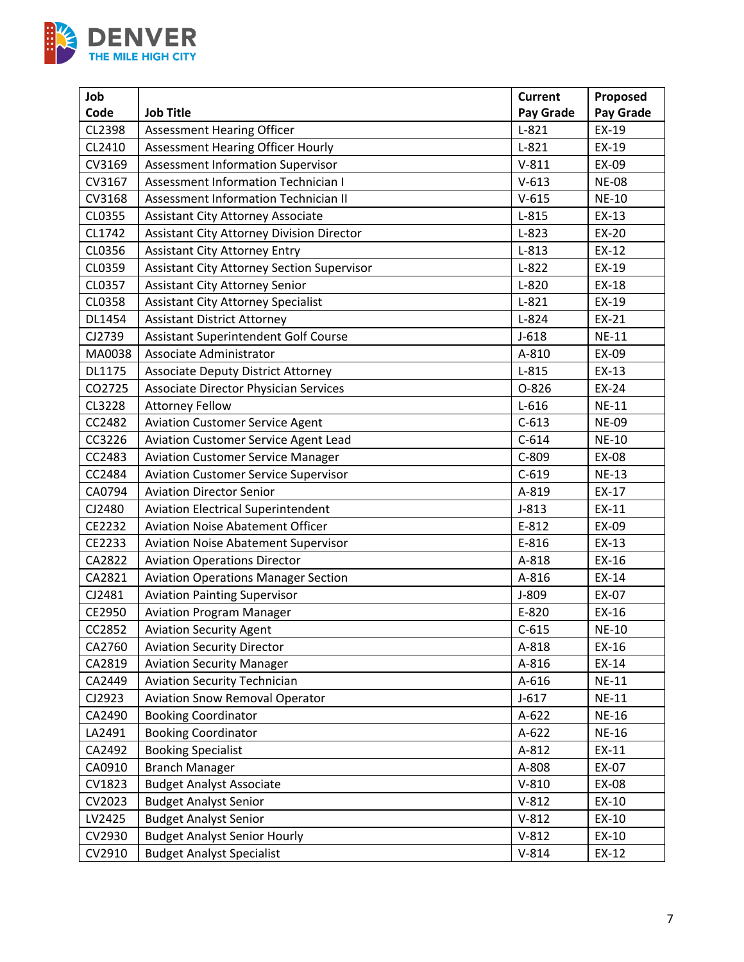

| Job    |                                                   | <b>Current</b> | Proposed     |
|--------|---------------------------------------------------|----------------|--------------|
| Code   | <b>Job Title</b>                                  | Pay Grade      | Pay Grade    |
| CL2398 | <b>Assessment Hearing Officer</b>                 | $L-821$        | EX-19        |
| CL2410 | <b>Assessment Hearing Officer Hourly</b>          | $L-821$        | EX-19        |
| CV3169 | <b>Assessment Information Supervisor</b>          | $V-811$        | EX-09        |
| CV3167 | <b>Assessment Information Technician I</b>        | $V-613$        | <b>NE-08</b> |
| CV3168 | Assessment Information Technician II              | $V-615$        | <b>NE-10</b> |
| CL0355 | <b>Assistant City Attorney Associate</b>          | $L-815$        | $EX-13$      |
| CL1742 | <b>Assistant City Attorney Division Director</b>  | $L-823$        | EX-20        |
| CL0356 | <b>Assistant City Attorney Entry</b>              | $L-813$        | $EX-12$      |
| CL0359 | <b>Assistant City Attorney Section Supervisor</b> | $L-822$        | EX-19        |
| CL0357 | <b>Assistant City Attorney Senior</b>             | $L-820$        | EX-18        |
| CL0358 | <b>Assistant City Attorney Specialist</b>         | $L-821$        | EX-19        |
| DL1454 | <b>Assistant District Attorney</b>                | $L-824$        | EX-21        |
| CJ2739 | <b>Assistant Superintendent Golf Course</b>       | $J-618$        | <b>NE-11</b> |
| MA0038 | Associate Administrator                           | A-810          | EX-09        |
| DL1175 | <b>Associate Deputy District Attorney</b>         | $L-815$        | EX-13        |
| CO2725 | <b>Associate Director Physician Services</b>      | $O-826$        | EX-24        |
| CL3228 | <b>Attorney Fellow</b>                            | $L-616$        | <b>NE-11</b> |
| CC2482 | <b>Aviation Customer Service Agent</b>            | $C-613$        | <b>NE-09</b> |
| CC3226 | Aviation Customer Service Agent Lead              | $C-614$        | <b>NE-10</b> |
| CC2483 | <b>Aviation Customer Service Manager</b>          | $C-809$        | EX-08        |
| CC2484 | <b>Aviation Customer Service Supervisor</b>       | $C-619$        | <b>NE-13</b> |
| CA0794 | <b>Aviation Director Senior</b>                   | A-819          | EX-17        |
| CJ2480 | <b>Aviation Electrical Superintendent</b>         | $J-813$        | EX-11        |
| CE2232 | <b>Aviation Noise Abatement Officer</b>           | E-812          | EX-09        |
| CE2233 | <b>Aviation Noise Abatement Supervisor</b>        | E-816          | EX-13        |
| CA2822 | <b>Aviation Operations Director</b>               | A-818          | EX-16        |
| CA2821 | <b>Aviation Operations Manager Section</b>        | A-816          | EX-14        |
| CJ2481 | <b>Aviation Painting Supervisor</b>               | J-809          | EX-07        |
| CE2950 | <b>Aviation Program Manager</b>                   | E-820          | EX-16        |
| CC2852 | <b>Aviation Security Agent</b>                    | $C-615$        | <b>NE-10</b> |
| CA2760 | <b>Aviation Security Director</b>                 | A-818          | EX-16        |
| CA2819 | <b>Aviation Security Manager</b>                  | A-816          | EX-14        |
| CA2449 | <b>Aviation Security Technician</b>               | A-616          | $NE-11$      |
| CJ2923 | <b>Aviation Snow Removal Operator</b>             | $J-617$        | <b>NE-11</b> |
| CA2490 | <b>Booking Coordinator</b>                        | $A-622$        | <b>NE-16</b> |
| LA2491 | <b>Booking Coordinator</b>                        | A-622          | <b>NE-16</b> |
| CA2492 | <b>Booking Specialist</b>                         | A-812          | EX-11        |
| CA0910 | <b>Branch Manager</b>                             | A-808          | EX-07        |
| CV1823 | <b>Budget Analyst Associate</b>                   | $V-810$        | EX-08        |
| CV2023 | <b>Budget Analyst Senior</b>                      | $V-812$        | EX-10        |
| LV2425 | <b>Budget Analyst Senior</b>                      | $V-812$        | EX-10        |
| CV2930 | <b>Budget Analyst Senior Hourly</b>               | $V-812$        | EX-10        |
| CV2910 | <b>Budget Analyst Specialist</b>                  | $V-814$        | EX-12        |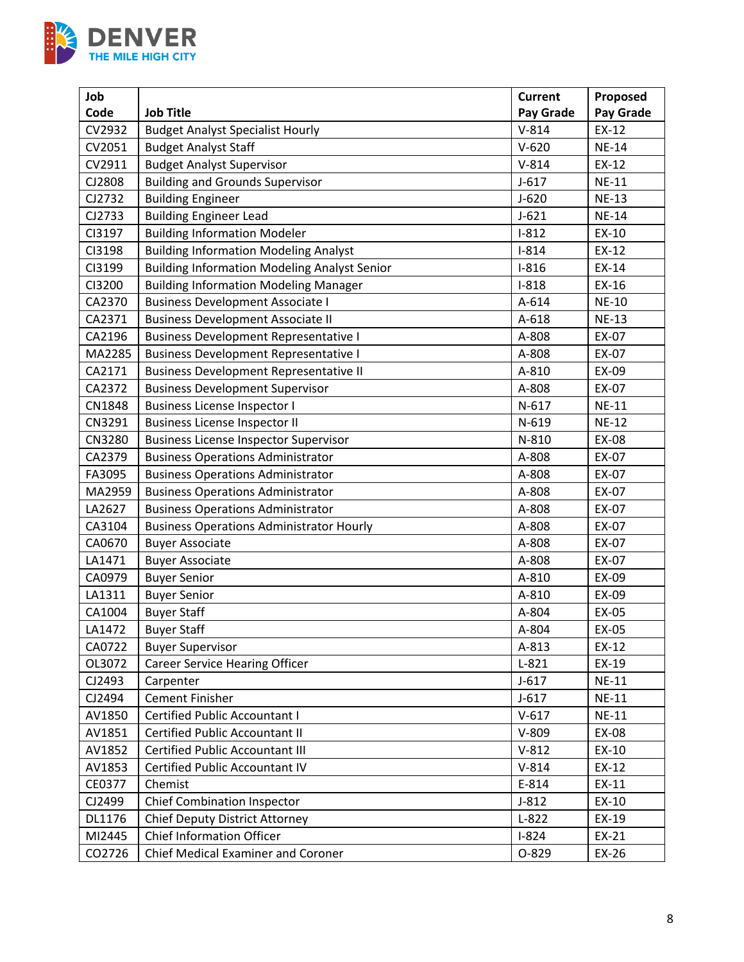

| Job    |                                                     | <b>Current</b> | Proposed     |
|--------|-----------------------------------------------------|----------------|--------------|
| Code   | <b>Job Title</b>                                    | Pay Grade      | Pay Grade    |
| CV2932 | <b>Budget Analyst Specialist Hourly</b>             | $V-814$        | EX-12        |
| CV2051 | <b>Budget Analyst Staff</b>                         | $V-620$        | <b>NE-14</b> |
| CV2911 | <b>Budget Analyst Supervisor</b>                    | $V-814$        | EX-12        |
| CJ2808 | <b>Building and Grounds Supervisor</b>              | $J - 617$      | <b>NE-11</b> |
| CJ2732 | <b>Building Engineer</b>                            | $J-620$        | <b>NE-13</b> |
| CJ2733 | <b>Building Engineer Lead</b>                       | $J-621$        | <b>NE-14</b> |
| CI3197 | <b>Building Information Modeler</b>                 | $I-812$        | EX-10        |
| CI3198 | <b>Building Information Modeling Analyst</b>        | $I-814$        | EX-12        |
| CI3199 | <b>Building Information Modeling Analyst Senior</b> | $I-816$        | EX-14        |
| CI3200 | <b>Building Information Modeling Manager</b>        | $I-818$        | EX-16        |
| CA2370 | <b>Business Development Associate I</b>             | A-614          | <b>NE-10</b> |
| CA2371 | <b>Business Development Associate II</b>            | A-618          | <b>NE-13</b> |
| CA2196 | <b>Business Development Representative I</b>        | A-808          | EX-07        |
| MA2285 | <b>Business Development Representative I</b>        | A-808          | EX-07        |
| CA2171 | <b>Business Development Representative II</b>       | A-810          | EX-09        |
| CA2372 | <b>Business Development Supervisor</b>              | A-808          | EX-07        |
| CN1848 | <b>Business License Inspector I</b>                 | $N-617$        | <b>NE-11</b> |
| CN3291 | <b>Business License Inspector II</b>                | $N-619$        | <b>NE-12</b> |
| CN3280 | <b>Business License Inspector Supervisor</b>        | N-810          | EX-08        |
| CA2379 | <b>Business Operations Administrator</b>            | A-808          | EX-07        |
| FA3095 | <b>Business Operations Administrator</b>            | A-808          | EX-07        |
| MA2959 | <b>Business Operations Administrator</b>            | A-808          | EX-07        |
| LA2627 | <b>Business Operations Administrator</b>            | A-808          | EX-07        |
| CA3104 | <b>Business Operations Administrator Hourly</b>     | A-808          | EX-07        |
| CA0670 | <b>Buyer Associate</b>                              | A-808          | EX-07        |
| LA1471 | <b>Buyer Associate</b>                              | A-808          | EX-07        |
| CA0979 | <b>Buyer Senior</b>                                 | A-810          | EX-09        |
| LA1311 | <b>Buyer Senior</b>                                 | A-810          | EX-09        |
| CA1004 | <b>Buyer Staff</b>                                  | A-804          | EX-05        |
| LA1472 | <b>Buyer Staff</b>                                  | A-804          | EX-05        |
| CA0722 | <b>Buyer Supervisor</b>                             | A-813          | EX-12        |
| OL3072 | <b>Career Service Hearing Officer</b>               | $L-821$        | EX-19        |
| CJ2493 | Carpenter                                           | $J-617$        | <b>NE-11</b> |
| CJ2494 | <b>Cement Finisher</b>                              | $J-617$        | <b>NE-11</b> |
| AV1850 | <b>Certified Public Accountant I</b>                | $V-617$        | <b>NE-11</b> |
| AV1851 | <b>Certified Public Accountant II</b>               | $V-809$        | EX-08        |
| AV1852 | <b>Certified Public Accountant III</b>              | $V-812$        | EX-10        |
| AV1853 | Certified Public Accountant IV                      | $V-814$        | EX-12        |
| CE0377 | Chemist                                             | E-814          | EX-11        |
| CJ2499 | <b>Chief Combination Inspector</b>                  | $J-812$        | EX-10        |
| DL1176 | Chief Deputy District Attorney                      | $L-822$        | EX-19        |
| MI2445 | <b>Chief Information Officer</b>                    | $I-824$        | EX-21        |
| CO2726 | Chief Medical Examiner and Coroner                  | 0-829          | EX-26        |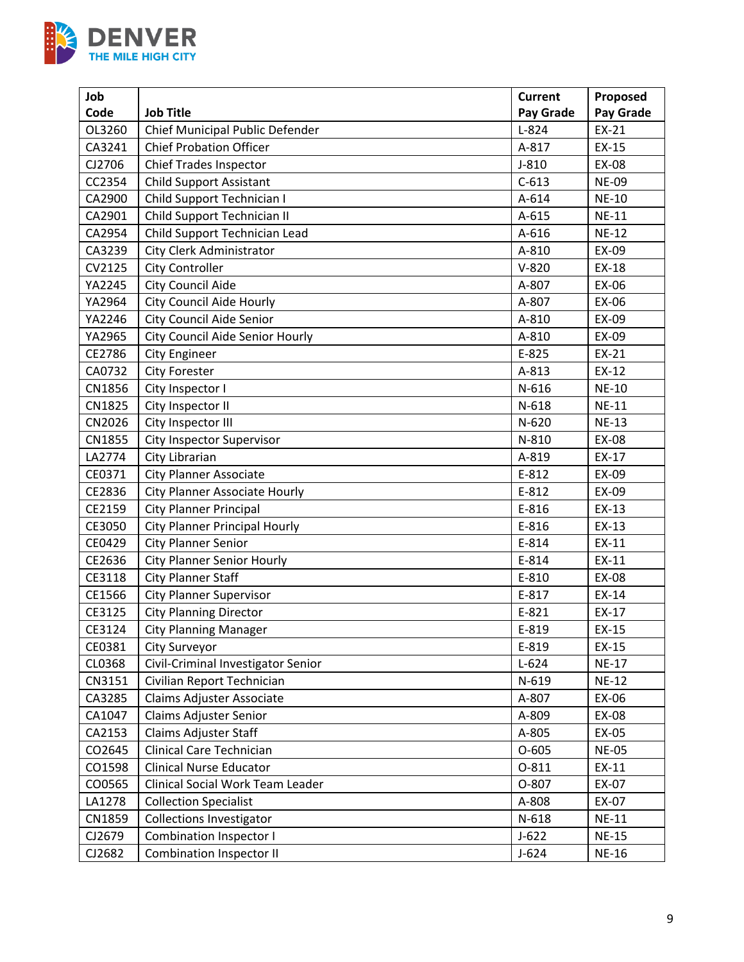

| Job    |                                        | <b>Current</b> | Proposed     |
|--------|----------------------------------------|----------------|--------------|
| Code   | <b>Job Title</b>                       | Pay Grade      | Pay Grade    |
| OL3260 | Chief Municipal Public Defender        | $L-824$        | EX-21        |
| CA3241 | <b>Chief Probation Officer</b>         | A-817          | EX-15        |
| CJ2706 | <b>Chief Trades Inspector</b>          | $J-810$        | EX-08        |
| CC2354 | <b>Child Support Assistant</b>         | $C-613$        | <b>NE-09</b> |
| CA2900 | Child Support Technician I             | A-614          | <b>NE-10</b> |
| CA2901 | Child Support Technician II            | A-615          | $NE-11$      |
| CA2954 | Child Support Technician Lead          | A-616          | <b>NE-12</b> |
| CA3239 | City Clerk Administrator               | A-810          | EX-09        |
| CV2125 | <b>City Controller</b>                 | $V-820$        | EX-18        |
| YA2245 | City Council Aide                      | A-807          | EX-06        |
| YA2964 | <b>City Council Aide Hourly</b>        | A-807          | EX-06        |
| YA2246 | <b>City Council Aide Senior</b>        | A-810          | EX-09        |
| YA2965 | <b>City Council Aide Senior Hourly</b> | A-810          | EX-09        |
| CE2786 | <b>City Engineer</b>                   | E-825          | EX-21        |
| CA0732 | <b>City Forester</b>                   | A-813          | EX-12        |
| CN1856 | City Inspector I                       | N-616          | <b>NE-10</b> |
| CN1825 | City Inspector II                      | $N-618$        | <b>NE-11</b> |
| CN2026 | City Inspector III                     | $N-620$        | <b>NE-13</b> |
| CN1855 | City Inspector Supervisor              | N-810          | <b>EX-08</b> |
| LA2774 | City Librarian                         | A-819          | EX-17        |
| CE0371 | <b>City Planner Associate</b>          | E-812          | EX-09        |
| CE2836 | <b>City Planner Associate Hourly</b>   | E-812          | EX-09        |
| CE2159 | <b>City Planner Principal</b>          | E-816          | EX-13        |
| CE3050 | <b>City Planner Principal Hourly</b>   | E-816          | EX-13        |
| CE0429 | <b>City Planner Senior</b>             | E-814          | EX-11        |
| CE2636 | <b>City Planner Senior Hourly</b>      | E-814          | EX-11        |
| CE3118 | <b>City Planner Staff</b>              | E-810          | EX-08        |
| CE1566 | <b>City Planner Supervisor</b>         | E-817          | EX-14        |
| CE3125 | <b>City Planning Director</b>          | E-821          | EX-17        |
| CE3124 | <b>City Planning Manager</b>           | E-819          | EX-15        |
| CE0381 | City Surveyor                          | E-819          | EX-15        |
| CL0368 | Civil-Criminal Investigator Senior     | $L-624$        | <b>NE-17</b> |
| CN3151 | Civilian Report Technician             | N-619          | <b>NE-12</b> |
| CA3285 | Claims Adjuster Associate              | A-807          | EX-06        |
| CA1047 | Claims Adjuster Senior                 | A-809          | EX-08        |
| CA2153 | <b>Claims Adjuster Staff</b>           | A-805          | EX-05        |
| CO2645 | Clinical Care Technician               | $O-605$        | <b>NE-05</b> |
| CO1598 | <b>Clinical Nurse Educator</b>         | 0-811          | EX-11        |
| CO0565 | Clinical Social Work Team Leader       | O-807          | EX-07        |
| LA1278 | <b>Collection Specialist</b>           | A-808          | EX-07        |
| CN1859 | <b>Collections Investigator</b>        | $N-618$        | <b>NE-11</b> |
| CJ2679 | <b>Combination Inspector I</b>         | $J-622$        | <b>NE-15</b> |
| CJ2682 | <b>Combination Inspector II</b>        | $J-624$        | <b>NE-16</b> |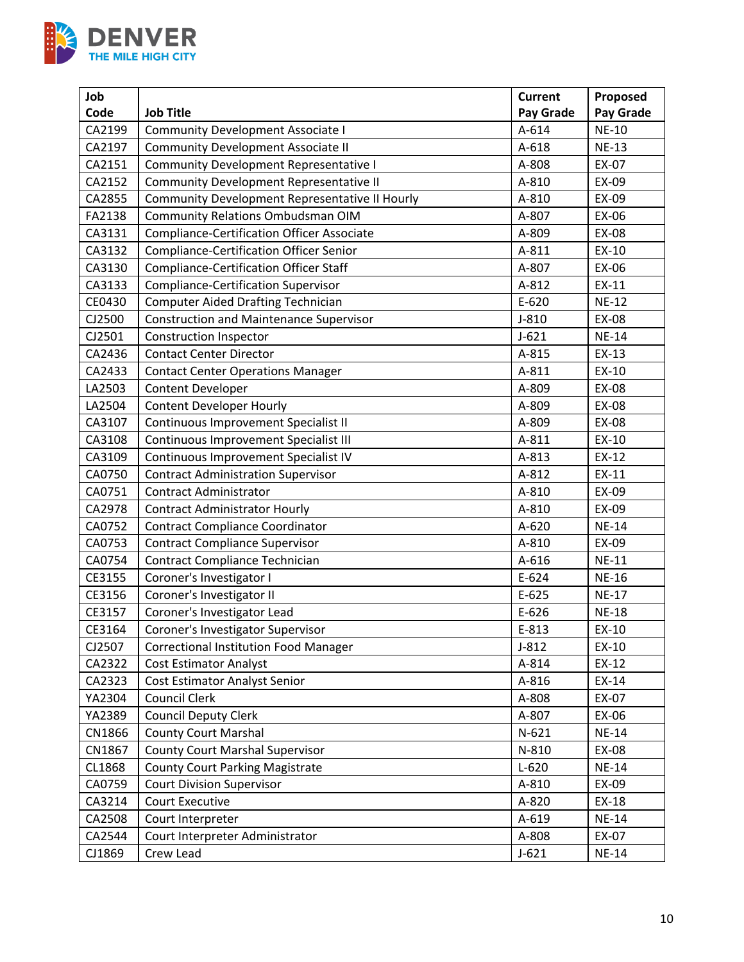

| Job    |                                                   | <b>Current</b> | Proposed     |
|--------|---------------------------------------------------|----------------|--------------|
| Code   | <b>Job Title</b>                                  | Pay Grade      | Pay Grade    |
| CA2199 | <b>Community Development Associate I</b>          | A-614          | <b>NE-10</b> |
| CA2197 | <b>Community Development Associate II</b>         | A-618          | <b>NE-13</b> |
| CA2151 | <b>Community Development Representative I</b>     | A-808          | EX-07        |
| CA2152 | Community Development Representative II           | A-810          | EX-09        |
| CA2855 | Community Development Representative II Hourly    | A-810          | EX-09        |
| FA2138 | Community Relations Ombudsman OIM                 | A-807          | EX-06        |
| CA3131 | <b>Compliance-Certification Officer Associate</b> | A-809          | EX-08        |
| CA3132 | <b>Compliance-Certification Officer Senior</b>    | A-811          | EX-10        |
| CA3130 | <b>Compliance-Certification Officer Staff</b>     | A-807          | EX-06        |
| CA3133 | <b>Compliance-Certification Supervisor</b>        | A-812          | EX-11        |
| CE0430 | <b>Computer Aided Drafting Technician</b>         | $E-620$        | <b>NE-12</b> |
| CJ2500 | <b>Construction and Maintenance Supervisor</b>    | $J-810$        | EX-08        |
| CJ2501 | <b>Construction Inspector</b>                     | $J-621$        | <b>NE-14</b> |
| CA2436 | <b>Contact Center Director</b>                    | A-815          | EX-13        |
| CA2433 | <b>Contact Center Operations Manager</b>          | A-811          | EX-10        |
| LA2503 | Content Developer                                 | A-809          | EX-08        |
| LA2504 | <b>Content Developer Hourly</b>                   | A-809          | EX-08        |
| CA3107 | Continuous Improvement Specialist II              | A-809          | EX-08        |
| CA3108 | Continuous Improvement Specialist III             | A-811          | EX-10        |
| CA3109 | Continuous Improvement Specialist IV              | A-813          | EX-12        |
| CA0750 | <b>Contract Administration Supervisor</b>         | A-812          | EX-11        |
| CA0751 | <b>Contract Administrator</b>                     | A-810          | EX-09        |
| CA2978 | <b>Contract Administrator Hourly</b>              | A-810          | EX-09        |
| CA0752 | <b>Contract Compliance Coordinator</b>            | A-620          | <b>NE-14</b> |
| CA0753 | <b>Contract Compliance Supervisor</b>             | A-810          | EX-09        |
| CA0754 | Contract Compliance Technician                    | A-616          | <b>NE-11</b> |
| CE3155 | Coroner's Investigator I                          | $E-624$        | <b>NE-16</b> |
| CE3156 | Coroner's Investigator II                         | $E-625$        | <b>NE-17</b> |
| CE3157 | Coroner's Investigator Lead                       | $E-626$        | <b>NE-18</b> |
| CE3164 | Coroner's Investigator Supervisor                 | E-813          | EX-10        |
| CJ2507 | <b>Correctional Institution Food Manager</b>      | $J-812$        | EX-10        |
| CA2322 | <b>Cost Estimator Analyst</b>                     | A-814          | $EX-12$      |
| CA2323 | Cost Estimator Analyst Senior                     | A-816          | EX-14        |
| YA2304 | Council Clerk                                     | A-808          | EX-07        |
| YA2389 | <b>Council Deputy Clerk</b>                       | A-807          | EX-06        |
| CN1866 | <b>County Court Marshal</b>                       | $N-621$        | <b>NE-14</b> |
| CN1867 | <b>County Court Marshal Supervisor</b>            | N-810          | EX-08        |
| CL1868 | <b>County Court Parking Magistrate</b>            | $L - 620$      | <b>NE-14</b> |
| CA0759 | <b>Court Division Supervisor</b>                  | A-810          | EX-09        |
| CA3214 | Court Executive                                   | A-820          | EX-18        |
| CA2508 | Court Interpreter                                 | A-619          | <b>NE-14</b> |
| CA2544 | Court Interpreter Administrator                   | A-808          | EX-07        |
| CJ1869 | Crew Lead                                         | $J-621$        | <b>NE-14</b> |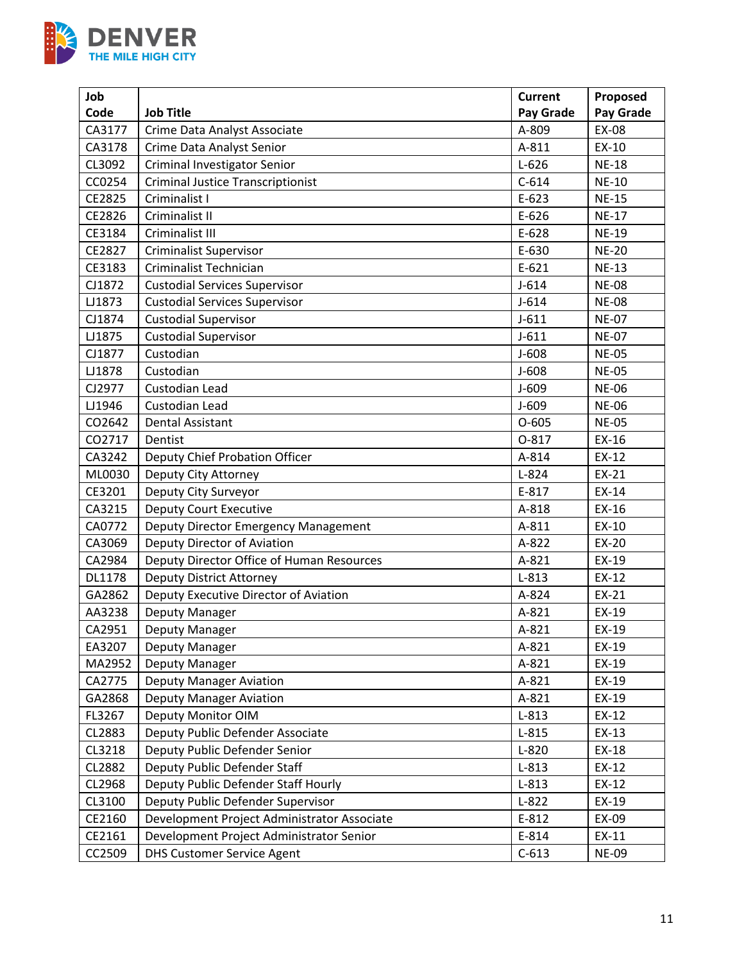

| Job    |                                             | <b>Current</b> | Proposed     |
|--------|---------------------------------------------|----------------|--------------|
| Code   | <b>Job Title</b>                            | Pay Grade      | Pay Grade    |
| CA3177 | Crime Data Analyst Associate                | A-809          | <b>EX-08</b> |
| CA3178 | Crime Data Analyst Senior                   | A-811          | EX-10        |
| CL3092 | Criminal Investigator Senior                | $L-626$        | <b>NE-18</b> |
| CC0254 | <b>Criminal Justice Transcriptionist</b>    | $C-614$        | <b>NE-10</b> |
| CE2825 | Criminalist I                               | $E-623$        | <b>NE-15</b> |
| CE2826 | Criminalist II                              | $E-626$        | <b>NE-17</b> |
| CE3184 | Criminalist III                             | E-628          | <b>NE-19</b> |
| CE2827 | <b>Criminalist Supervisor</b>               | E-630          | <b>NE-20</b> |
| CE3183 | Criminalist Technician                      | $E-621$        | <b>NE-13</b> |
| CJ1872 | <b>Custodial Services Supervisor</b>        | $J-614$        | <b>NE-08</b> |
| LJ1873 | <b>Custodial Services Supervisor</b>        | $J-614$        | <b>NE-08</b> |
| CJ1874 | <b>Custodial Supervisor</b>                 | $J-611$        | <b>NE-07</b> |
| LJ1875 | <b>Custodial Supervisor</b>                 | $J - 611$      | <b>NE-07</b> |
| CJ1877 | Custodian                                   | $J-608$        | <b>NE-05</b> |
| LJ1878 | Custodian                                   | $J-608$        | <b>NE-05</b> |
| CJ2977 | Custodian Lead                              | $J-609$        | <b>NE-06</b> |
| LJ1946 | Custodian Lead                              | $J - 609$      | <b>NE-06</b> |
| CO2642 | <b>Dental Assistant</b>                     | $O-605$        | <b>NE-05</b> |
| CO2717 | Dentist                                     | 0-817          | EX-16        |
| CA3242 | Deputy Chief Probation Officer              | A-814          | $EX-12$      |
| ML0030 | Deputy City Attorney                        | $L-824$        | EX-21        |
| CE3201 | Deputy City Surveyor                        | E-817          | EX-14        |
| CA3215 | <b>Deputy Court Executive</b>               | A-818          | EX-16        |
| CA0772 | Deputy Director Emergency Management        | A-811          | EX-10        |
| CA3069 | Deputy Director of Aviation                 | A-822          | EX-20        |
| CA2984 | Deputy Director Office of Human Resources   | A-821          | EX-19        |
| DL1178 | Deputy District Attorney                    | $L-813$        | EX-12        |
| GA2862 | Deputy Executive Director of Aviation       | A-824          | EX-21        |
| AA3238 | Deputy Manager                              | A-821          | EX-19        |
| CA2951 | Deputy Manager                              | A-821          | EX-19        |
| EA3207 | Deputy Manager                              | A-821          | EX-19        |
| MA2952 | Deputy Manager                              | A-821          | EX-19        |
| CA2775 | <b>Deputy Manager Aviation</b>              | A-821          | EX-19        |
| GA2868 | <b>Deputy Manager Aviation</b>              | A-821          | EX-19        |
| FL3267 | Deputy Monitor OIM                          | $L-813$        | EX-12        |
| CL2883 | Deputy Public Defender Associate            | $L-815$        | EX-13        |
| CL3218 | Deputy Public Defender Senior               | $L-820$        | EX-18        |
| CL2882 | Deputy Public Defender Staff                | $L-813$        | EX-12        |
| CL2968 | Deputy Public Defender Staff Hourly         | $L-813$        | EX-12        |
| CL3100 | Deputy Public Defender Supervisor           | $L-822$        | EX-19        |
| CE2160 | Development Project Administrator Associate | E-812          | EX-09        |
| CE2161 | Development Project Administrator Senior    | E-814          | EX-11        |
| CC2509 | <b>DHS Customer Service Agent</b>           | $C-613$        | <b>NE-09</b> |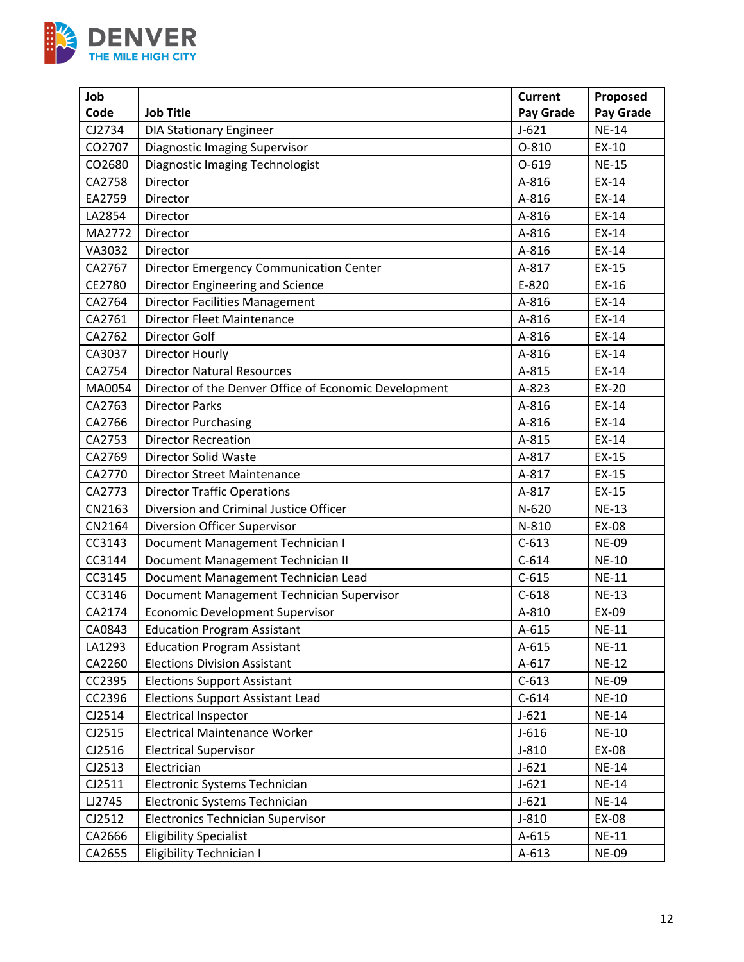

| Job    |                                                       | <b>Current</b>   | Proposed     |
|--------|-------------------------------------------------------|------------------|--------------|
| Code   | <b>Job Title</b>                                      | <b>Pay Grade</b> | Pay Grade    |
| CJ2734 | <b>DIA Stationary Engineer</b>                        | $J-621$          | <b>NE-14</b> |
| CO2707 | <b>Diagnostic Imaging Supervisor</b>                  | $O-810$          | EX-10        |
| CO2680 | <b>Diagnostic Imaging Technologist</b>                | $O-619$          | <b>NE-15</b> |
| CA2758 | Director                                              | A-816            | EX-14        |
| EA2759 | Director                                              | A-816            | EX-14        |
| LA2854 | Director                                              | A-816            | $EX-14$      |
| MA2772 | Director                                              | A-816            | EX-14        |
| VA3032 | Director                                              | A-816            | EX-14        |
| CA2767 | Director Emergency Communication Center               | A-817            | EX-15        |
| CE2780 | Director Engineering and Science                      | E-820            | EX-16        |
| CA2764 | <b>Director Facilities Management</b>                 | A-816            | EX-14        |
| CA2761 | <b>Director Fleet Maintenance</b>                     | A-816            | EX-14        |
| CA2762 | Director Golf                                         | A-816            | EX-14        |
| CA3037 | Director Hourly                                       | A-816            | EX-14        |
| CA2754 | <b>Director Natural Resources</b>                     | A-815            | EX-14        |
| MA0054 | Director of the Denver Office of Economic Development | A-823            | EX-20        |
| CA2763 | <b>Director Parks</b>                                 | A-816            | EX-14        |
| CA2766 | <b>Director Purchasing</b>                            | A-816            | EX-14        |
| CA2753 | <b>Director Recreation</b>                            | A-815            | EX-14        |
| CA2769 | Director Solid Waste                                  | A-817            | EX-15        |
| CA2770 | <b>Director Street Maintenance</b>                    | A-817            | EX-15        |
| CA2773 | <b>Director Traffic Operations</b>                    | A-817            | EX-15        |
| CN2163 | Diversion and Criminal Justice Officer                | $N-620$          | <b>NE-13</b> |
| CN2164 | Diversion Officer Supervisor                          | N-810            | EX-08        |
| CC3143 | Document Management Technician I                      | $C-613$          | <b>NE-09</b> |
| CC3144 | Document Management Technician II                     | $C-614$          | <b>NE-10</b> |
| CC3145 | Document Management Technician Lead                   | $C-615$          | <b>NE-11</b> |
| CC3146 | Document Management Technician Supervisor             | $C-618$          | <b>NE-13</b> |
| CA2174 | <b>Economic Development Supervisor</b>                | A-810            | EX-09        |
| CA0843 | <b>Education Program Assistant</b>                    | $A-615$          | <b>NE-11</b> |
| LA1293 | <b>Education Program Assistant</b>                    | $A - 615$        | <b>NE-11</b> |
| CA2260 | <b>Elections Division Assistant</b>                   | $A-617$          | <b>NE-12</b> |
| CC2395 | <b>Elections Support Assistant</b>                    | $C-613$          | <b>NE-09</b> |
| CC2396 | <b>Elections Support Assistant Lead</b>               | $C-614$          | <b>NE-10</b> |
| CJ2514 | <b>Electrical Inspector</b>                           | $J-621$          | <b>NE-14</b> |
| CJ2515 | <b>Electrical Maintenance Worker</b>                  | $J-616$          | <b>NE-10</b> |
| CJ2516 | <b>Electrical Supervisor</b>                          | $J-810$          | EX-08        |
| CJ2513 | Electrician                                           | $J-621$          | <b>NE-14</b> |
| CJ2511 | Electronic Systems Technician                         | $J-621$          | <b>NE-14</b> |
| LJ2745 | Electronic Systems Technician                         | $J-621$          | <b>NE-14</b> |
| CJ2512 | <b>Electronics Technician Supervisor</b>              | $J-810$          | EX-08        |
| CA2666 | <b>Eligibility Specialist</b>                         | $A - 615$        | $NE-11$      |
| CA2655 | <b>Eligibility Technician I</b>                       | $A-613$          | <b>NE-09</b> |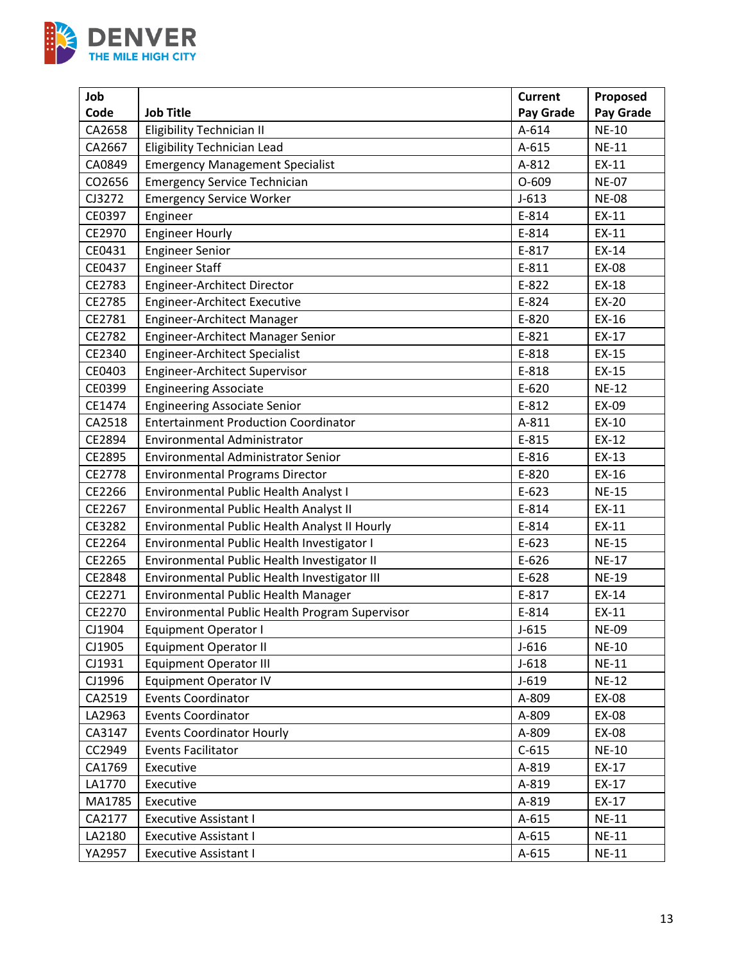

| Job    |                                                       | <b>Current</b> | Proposed     |
|--------|-------------------------------------------------------|----------------|--------------|
| Code   | <b>Job Title</b>                                      | Pay Grade      | Pay Grade    |
| CA2658 | <b>Eligibility Technician II</b>                      | A-614          | <b>NE-10</b> |
| CA2667 | <b>Eligibility Technician Lead</b>                    | A-615          | <b>NE-11</b> |
| CA0849 | <b>Emergency Management Specialist</b>                | A-812          | EX-11        |
| CO2656 | <b>Emergency Service Technician</b>                   | $O-609$        | <b>NE-07</b> |
| CJ3272 | <b>Emergency Service Worker</b>                       | $J-613$        | <b>NE-08</b> |
| CE0397 | Engineer                                              | E-814          | EX-11        |
| CE2970 | <b>Engineer Hourly</b>                                | E-814          | EX-11        |
| CE0431 | <b>Engineer Senior</b>                                | E-817          | EX-14        |
| CE0437 | <b>Engineer Staff</b>                                 | $E-811$        | EX-08        |
| CE2783 | Engineer-Architect Director                           | E-822          | EX-18        |
| CE2785 | Engineer-Architect Executive                          | E-824          | EX-20        |
| CE2781 | Engineer-Architect Manager                            | E-820          | EX-16        |
| CE2782 | Engineer-Architect Manager Senior                     | E-821          | EX-17        |
| CE2340 | <b>Engineer-Architect Specialist</b>                  | E-818          | EX-15        |
| CE0403 | Engineer-Architect Supervisor                         | E-818          | EX-15        |
| CE0399 | <b>Engineering Associate</b>                          | $E-620$        | <b>NE-12</b> |
| CE1474 | <b>Engineering Associate Senior</b>                   | E-812          | EX-09        |
| CA2518 | <b>Entertainment Production Coordinator</b>           | A-811          | EX-10        |
| CE2894 | Environmental Administrator                           | E-815          | EX-12        |
| CE2895 | Environmental Administrator Senior                    | E-816          | EX-13        |
| CE2778 | <b>Environmental Programs Director</b>                | E-820          | EX-16        |
| CE2266 | Environmental Public Health Analyst I                 | $E-623$        | <b>NE-15</b> |
| CE2267 | Environmental Public Health Analyst II                | E-814          | EX-11        |
| CE3282 | Environmental Public Health Analyst II Hourly         | E-814          | EX-11        |
| CE2264 | Environmental Public Health Investigator I            | $E-623$        | <b>NE-15</b> |
| CE2265 | Environmental Public Health Investigator II           | $E-626$        | <b>NE-17</b> |
| CE2848 | Environmental Public Health Investigator III          | E-628          | <b>NE-19</b> |
| CE2271 | Environmental Public Health Manager                   | E-817          | EX-14        |
| CE2270 | <b>Environmental Public Health Program Supervisor</b> | E-814          | EX-11        |
| CJ1904 | <b>Equipment Operator I</b>                           | $J-615$        | <b>NE-09</b> |
| CJ1905 | <b>Equipment Operator II</b>                          | $J-616$        | <b>NE-10</b> |
| CJ1931 | <b>Equipment Operator III</b>                         | $J-618$        | <b>NE-11</b> |
| CJ1996 | <b>Equipment Operator IV</b>                          | $J-619$        | <b>NE-12</b> |
| CA2519 | <b>Events Coordinator</b>                             | A-809          | EX-08        |
| LA2963 | <b>Events Coordinator</b>                             | A-809          | EX-08        |
| CA3147 | <b>Events Coordinator Hourly</b>                      | A-809          | EX-08        |
| CC2949 | <b>Events Facilitator</b>                             | $C-615$        | <b>NE-10</b> |
| CA1769 | Executive                                             | A-819          | EX-17        |
| LA1770 | Executive                                             | A-819          | EX-17        |
| MA1785 | Executive                                             | A-819          | EX-17        |
| CA2177 | <b>Executive Assistant I</b>                          | $A - 615$      | <b>NE-11</b> |
| LA2180 | <b>Executive Assistant I</b>                          | $A-615$        | <b>NE-11</b> |
| YA2957 | <b>Executive Assistant I</b>                          | A-615          | <b>NE-11</b> |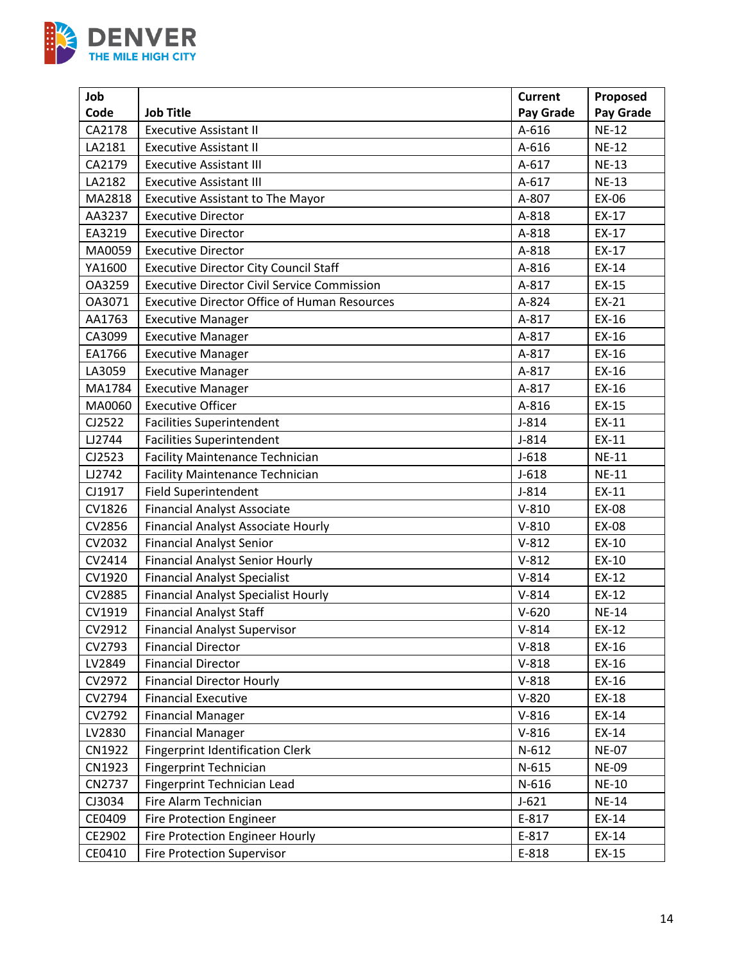

| Job    |                                                     | <b>Current</b> | Proposed     |
|--------|-----------------------------------------------------|----------------|--------------|
| Code   | <b>Job Title</b>                                    | Pay Grade      | Pay Grade    |
| CA2178 | <b>Executive Assistant II</b>                       | A-616          | $NE-12$      |
| LA2181 | <b>Executive Assistant II</b>                       | $A-616$        | <b>NE-12</b> |
| CA2179 | <b>Executive Assistant III</b>                      | A-617          | <b>NE-13</b> |
| LA2182 | <b>Executive Assistant III</b>                      | A-617          | <b>NE-13</b> |
| MA2818 | <b>Executive Assistant to The Mayor</b>             | A-807          | EX-06        |
| AA3237 | <b>Executive Director</b>                           | A-818          | EX-17        |
| EA3219 | <b>Executive Director</b>                           | A-818          | EX-17        |
| MA0059 | <b>Executive Director</b>                           | A-818          | EX-17        |
| YA1600 | <b>Executive Director City Council Staff</b>        | A-816          | EX-14        |
| OA3259 | <b>Executive Director Civil Service Commission</b>  | A-817          | EX-15        |
| OA3071 | <b>Executive Director Office of Human Resources</b> | A-824          | EX-21        |
| AA1763 | <b>Executive Manager</b>                            | A-817          | EX-16        |
| CA3099 | <b>Executive Manager</b>                            | A-817          | EX-16        |
| EA1766 | <b>Executive Manager</b>                            | A-817          | $EX-16$      |
| LA3059 | <b>Executive Manager</b>                            | A-817          | EX-16        |
| MA1784 | <b>Executive Manager</b>                            | A-817          | EX-16        |
| MA0060 | <b>Executive Officer</b>                            | A-816          | EX-15        |
| CJ2522 | <b>Facilities Superintendent</b>                    | $J-814$        | EX-11        |
| LJ2744 | <b>Facilities Superintendent</b>                    | $J-814$        | EX-11        |
| CJ2523 | <b>Facility Maintenance Technician</b>              | $J-618$        | <b>NE-11</b> |
| LJ2742 | <b>Facility Maintenance Technician</b>              | $J-618$        | <b>NE-11</b> |
| CJ1917 | <b>Field Superintendent</b>                         | $J-814$        | EX-11        |
| CV1826 | <b>Financial Analyst Associate</b>                  | $V-810$        | EX-08        |
| CV2856 | <b>Financial Analyst Associate Hourly</b>           | $V-810$        | EX-08        |
| CV2032 | <b>Financial Analyst Senior</b>                     | $V-812$        | EX-10        |
| CV2414 | <b>Financial Analyst Senior Hourly</b>              | $V-812$        | EX-10        |
| CV1920 | <b>Financial Analyst Specialist</b>                 | $V-814$        | EX-12        |
| CV2885 | <b>Financial Analyst Specialist Hourly</b>          | $V-814$        | EX-12        |
| CV1919 | <b>Financial Analyst Staff</b>                      | $V-620$        | <b>NE-14</b> |
| CV2912 | <b>Financial Analyst Supervisor</b>                 | $V-814$        | EX-12        |
| CV2793 | <b>Financial Director</b>                           | $V-818$        | EX-16        |
| LV2849 | <b>Financial Director</b>                           | $V-818$        | EX-16        |
| CV2972 | <b>Financial Director Hourly</b>                    | $V-818$        | EX-16        |
| CV2794 | <b>Financial Executive</b>                          | $V-820$        | EX-18        |
| CV2792 | <b>Financial Manager</b>                            | $V-816$        | EX-14        |
| LV2830 | <b>Financial Manager</b>                            | $V-816$        | EX-14        |
| CN1922 | <b>Fingerprint Identification Clerk</b>             | $N-612$        | <b>NE-07</b> |
| CN1923 | <b>Fingerprint Technician</b>                       | $N-615$        | <b>NE-09</b> |
| CN2737 | Fingerprint Technician Lead                         | N-616          | <b>NE-10</b> |
| CJ3034 | Fire Alarm Technician                               | $J-621$        | <b>NE-14</b> |
| CE0409 | Fire Protection Engineer                            | E-817          | EX-14        |
| CE2902 | Fire Protection Engineer Hourly                     | E-817          | EX-14        |
| CE0410 | <b>Fire Protection Supervisor</b>                   | E-818          | EX-15        |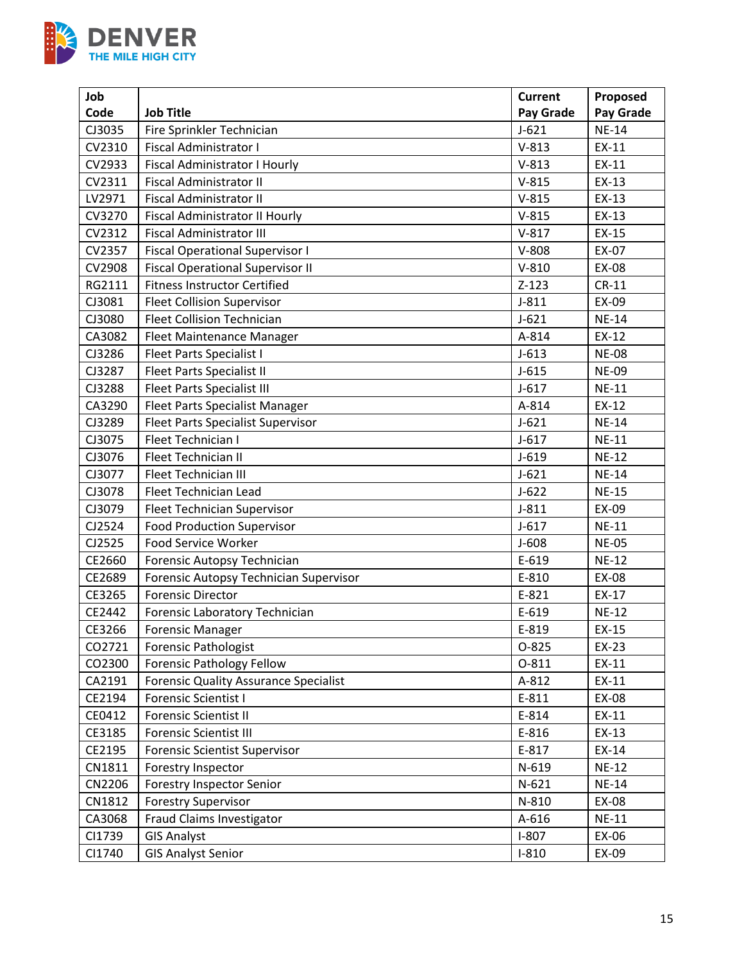

| Job    |                                              | <b>Current</b> | Proposed     |
|--------|----------------------------------------------|----------------|--------------|
| Code   | <b>Job Title</b>                             | Pay Grade      | Pay Grade    |
| CJ3035 | Fire Sprinkler Technician                    | $J-621$        | <b>NE-14</b> |
| CV2310 | <b>Fiscal Administrator I</b>                | $V-813$        | $EX-11$      |
| CV2933 | Fiscal Administrator I Hourly                | $V-813$        | EX-11        |
| CV2311 | Fiscal Administrator II                      | $V-815$        | EX-13        |
| LV2971 | <b>Fiscal Administrator II</b>               | $V-815$        | EX-13        |
| CV3270 | <b>Fiscal Administrator II Hourly</b>        | $V-815$        | EX-13        |
| CV2312 | <b>Fiscal Administrator III</b>              | $V-817$        | EX-15        |
| CV2357 | <b>Fiscal Operational Supervisor I</b>       | $V-808$        | EX-07        |
| CV2908 | <b>Fiscal Operational Supervisor II</b>      | $V-810$        | EX-08        |
| RG2111 | <b>Fitness Instructor Certified</b>          | $Z-123$        | $CR-11$      |
| CJ3081 | <b>Fleet Collision Supervisor</b>            | $J-811$        | EX-09        |
| CJ3080 | <b>Fleet Collision Technician</b>            | $J-621$        | <b>NE-14</b> |
| CA3082 | Fleet Maintenance Manager                    | A-814          | EX-12        |
| CJ3286 | <b>Fleet Parts Specialist I</b>              | $J-613$        | <b>NE-08</b> |
| CJ3287 | <b>Fleet Parts Specialist II</b>             | $J-615$        | <b>NE-09</b> |
| CJ3288 | <b>Fleet Parts Specialist III</b>            | $J - 617$      | <b>NE-11</b> |
| CA3290 | <b>Fleet Parts Specialist Manager</b>        | A-814          | EX-12        |
| CJ3289 | <b>Fleet Parts Specialist Supervisor</b>     | $J-621$        | <b>NE-14</b> |
| CJ3075 | Fleet Technician I                           | $J - 617$      | <b>NE-11</b> |
| CJ3076 | Fleet Technician II                          | $J-619$        | <b>NE-12</b> |
| CJ3077 | Fleet Technician III                         | $J - 621$      | <b>NE-14</b> |
| CJ3078 | Fleet Technician Lead                        | $J-622$        | <b>NE-15</b> |
| CJ3079 | Fleet Technician Supervisor                  | $J-811$        | EX-09        |
| CJ2524 | <b>Food Production Supervisor</b>            | $J - 617$      | <b>NE-11</b> |
| CJ2525 | Food Service Worker                          | $J-608$        | <b>NE-05</b> |
| CE2660 | Forensic Autopsy Technician                  | E-619          | <b>NE-12</b> |
| CE2689 | Forensic Autopsy Technician Supervisor       | E-810          | EX-08        |
| CE3265 | <b>Forensic Director</b>                     | E-821          | $EX-17$      |
| CE2442 | Forensic Laboratory Technician               | E-619          | <b>NE-12</b> |
| CE3266 | <b>Forensic Manager</b>                      | E-819          | $EX-15$      |
| CO2721 | <b>Forensic Pathologist</b>                  | 0-825          | EX-23        |
| CO2300 | <b>Forensic Pathology Fellow</b>             | 0-811          | EX-11        |
| CA2191 | <b>Forensic Quality Assurance Specialist</b> | A-812          | EX-11        |
| CE2194 | <b>Forensic Scientist I</b>                  | E-811          | EX-08        |
| CE0412 | <b>Forensic Scientist II</b>                 | E-814          | EX-11        |
| CE3185 | <b>Forensic Scientist III</b>                | E-816          | EX-13        |
| CE2195 | <b>Forensic Scientist Supervisor</b>         | E-817          | EX-14        |
| CN1811 | Forestry Inspector                           | N-619          | <b>NE-12</b> |
| CN2206 | <b>Forestry Inspector Senior</b>             | $N-621$        | <b>NE-14</b> |
| CN1812 | <b>Forestry Supervisor</b>                   | N-810          | EX-08        |
| CA3068 | Fraud Claims Investigator                    | A-616          | <b>NE-11</b> |
| CI1739 | <b>GIS Analyst</b>                           | $I-807$        | EX-06        |
| CI1740 | <b>GIS Analyst Senior</b>                    | $I-810$        | EX-09        |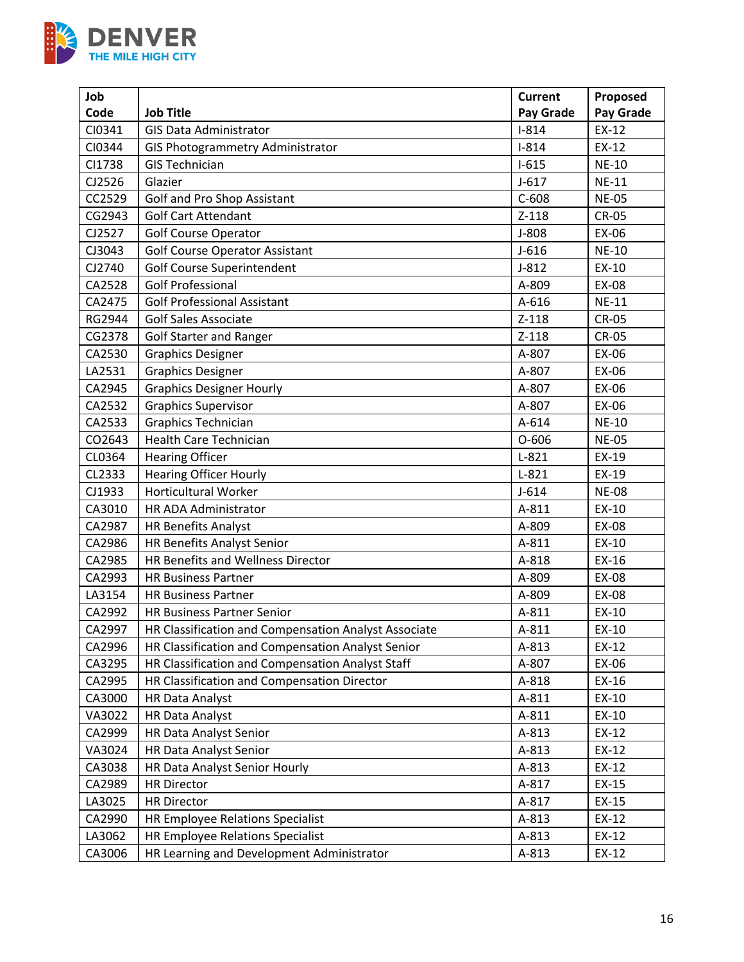

| Job    |                                                      | <b>Current</b> | Proposed     |
|--------|------------------------------------------------------|----------------|--------------|
| Code   | <b>Job Title</b>                                     | Pay Grade      | Pay Grade    |
| CI0341 | <b>GIS Data Administrator</b>                        | $I-814$        | $EX-12$      |
| CI0344 | <b>GIS Photogrammetry Administrator</b>              | $I-814$        | EX-12        |
| CI1738 | <b>GIS Technician</b>                                | $I-615$        | <b>NE-10</b> |
| CJ2526 | Glazier                                              | $J-617$        | <b>NE-11</b> |
| CC2529 | Golf and Pro Shop Assistant                          | $C-608$        | <b>NE-05</b> |
| CG2943 | <b>Golf Cart Attendant</b>                           | $Z-118$        | <b>CR-05</b> |
| CJ2527 | <b>Golf Course Operator</b>                          | $J-808$        | EX-06        |
| CJ3043 | <b>Golf Course Operator Assistant</b>                | $J-616$        | <b>NE-10</b> |
| CJ2740 | <b>Golf Course Superintendent</b>                    | $J-812$        | EX-10        |
| CA2528 | <b>Golf Professional</b>                             | A-809          | EX-08        |
| CA2475 | <b>Golf Professional Assistant</b>                   | A-616          | <b>NE-11</b> |
| RG2944 | <b>Golf Sales Associate</b>                          | $Z-118$        | <b>CR-05</b> |
| CG2378 | <b>Golf Starter and Ranger</b>                       | $Z-118$        | <b>CR-05</b> |
| CA2530 | <b>Graphics Designer</b>                             | A-807          | EX-06        |
| LA2531 | <b>Graphics Designer</b>                             | A-807          | EX-06        |
| CA2945 | <b>Graphics Designer Hourly</b>                      | A-807          | EX-06        |
| CA2532 | <b>Graphics Supervisor</b>                           | A-807          | EX-06        |
| CA2533 | <b>Graphics Technician</b>                           | A-614          | <b>NE-10</b> |
| CO2643 | Health Care Technician                               | $O-606$        | <b>NE-05</b> |
| CL0364 | <b>Hearing Officer</b>                               | $L-821$        | EX-19        |
| CL2333 | <b>Hearing Officer Hourly</b>                        | $L-821$        | EX-19        |
| CJ1933 | <b>Horticultural Worker</b>                          | $J-614$        | <b>NE-08</b> |
| CA3010 | HR ADA Administrator                                 | A-811          | EX-10        |
| CA2987 | <b>HR Benefits Analyst</b>                           | A-809          | EX-08        |
| CA2986 | HR Benefits Analyst Senior                           | A-811          | EX-10        |
| CA2985 | HR Benefits and Wellness Director                    | A-818          | EX-16        |
| CA2993 | <b>HR Business Partner</b>                           | A-809          | EX-08        |
| LA3154 | <b>HR Business Partner</b>                           | A-809          | EX-08        |
| CA2992 | <b>HR Business Partner Senior</b>                    | A-811          | EX-10        |
| CA2997 | HR Classification and Compensation Analyst Associate | A-811          | EX-10        |
| CA2996 | HR Classification and Compensation Analyst Senior    | A-813          | EX-12        |
| CA3295 | HR Classification and Compensation Analyst Staff     | A-807          | EX-06        |
| CA2995 | HR Classification and Compensation Director          | A-818          | EX-16        |
| CA3000 | <b>HR Data Analyst</b>                               | A-811          | EX-10        |
| VA3022 | <b>HR Data Analyst</b>                               | A-811          | EX-10        |
| CA2999 | <b>HR Data Analyst Senior</b>                        | A-813          | EX-12        |
| VA3024 | <b>HR Data Analyst Senior</b>                        | A-813          | EX-12        |
| CA3038 | HR Data Analyst Senior Hourly                        | A-813          | EX-12        |
| CA2989 | <b>HR Director</b>                                   | A-817          | EX-15        |
| LA3025 | <b>HR Director</b>                                   | A-817          | EX-15        |
| CA2990 | HR Employee Relations Specialist                     | A-813          | EX-12        |
| LA3062 | HR Employee Relations Specialist                     | A-813          | EX-12        |
| CA3006 | HR Learning and Development Administrator            | A-813          | EX-12        |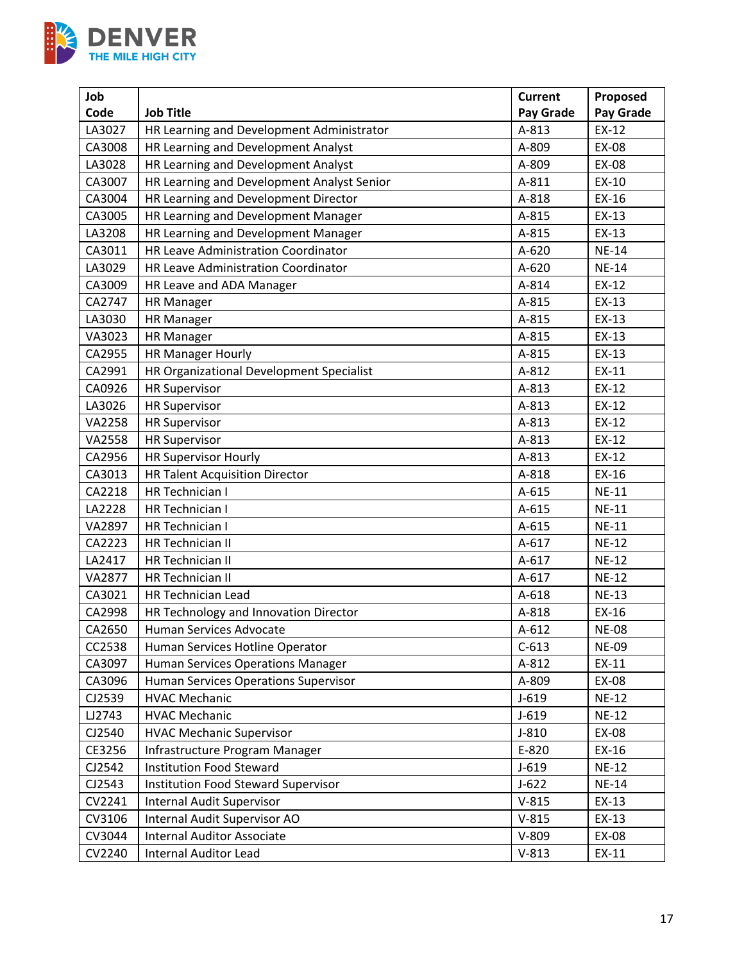

| Job           |                                            | <b>Current</b> | Proposed     |
|---------------|--------------------------------------------|----------------|--------------|
| Code          | <b>Job Title</b>                           | Pay Grade      | Pay Grade    |
| LA3027        | HR Learning and Development Administrator  | A-813          | EX-12        |
| CA3008        | HR Learning and Development Analyst        | A-809          | EX-08        |
| LA3028        | HR Learning and Development Analyst        | A-809          | EX-08        |
| CA3007        | HR Learning and Development Analyst Senior | A-811          | EX-10        |
| CA3004        | HR Learning and Development Director       | A-818          | EX-16        |
| CA3005        | HR Learning and Development Manager        | A-815          | $EX-13$      |
| LA3208        | HR Learning and Development Manager        | A-815          | EX-13        |
| CA3011        | HR Leave Administration Coordinator        | A-620          | <b>NE-14</b> |
| LA3029        | HR Leave Administration Coordinator        | A-620          | <b>NE-14</b> |
| CA3009        | HR Leave and ADA Manager                   | A-814          | EX-12        |
| CA2747        | <b>HR Manager</b>                          | A-815          | EX-13        |
| LA3030        | <b>HR Manager</b>                          | A-815          | EX-13        |
| VA3023        | <b>HR Manager</b>                          | A-815          | EX-13        |
| CA2955        | HR Manager Hourly                          | A-815          | EX-13        |
| CA2991        | HR Organizational Development Specialist   | A-812          | EX-11        |
| CA0926        | <b>HR Supervisor</b>                       | A-813          | EX-12        |
| LA3026        | <b>HR Supervisor</b>                       | A-813          | EX-12        |
| VA2258        | <b>HR Supervisor</b>                       | A-813          | EX-12        |
| VA2558        | <b>HR Supervisor</b>                       | A-813          | EX-12        |
| CA2956        | <b>HR Supervisor Hourly</b>                | A-813          | EX-12        |
| CA3013        | <b>HR Talent Acquisition Director</b>      | A-818          | EX-16        |
| CA2218        | <b>HR Technician I</b>                     | A-615          | <b>NE-11</b> |
| LA2228        | <b>HR Technician I</b>                     | A-615          | <b>NE-11</b> |
| VA2897        | HR Technician I                            | A-615          | <b>NE-11</b> |
| CA2223        | HR Technician II                           | $A-617$        | <b>NE-12</b> |
| LA2417        | HR Technician II                           | A-617          | <b>NE-12</b> |
| <b>VA2877</b> | HR Technician II                           | $A-617$        | <b>NE-12</b> |
| CA3021        | <b>HR Technician Lead</b>                  | A-618          | <b>NE-13</b> |
| CA2998        | HR Technology and Innovation Director      | A-818          | $EX-16$      |
| CA2650        | Human Services Advocate                    | $A-612$        | <b>NE-08</b> |
| CC2538        | Human Services Hotline Operator            | $C-613$        | <b>NE-09</b> |
| CA3097        | Human Services Operations Manager          | A-812          | EX-11        |
| CA3096        | Human Services Operations Supervisor       | A-809          | EX-08        |
| CJ2539        | <b>HVAC Mechanic</b>                       | $J-619$        | <b>NE-12</b> |
| LJ2743        | <b>HVAC Mechanic</b>                       | $J-619$        | <b>NE-12</b> |
| CJ2540        | <b>HVAC Mechanic Supervisor</b>            | $J-810$        | EX-08        |
| CE3256        | Infrastructure Program Manager             | E-820          | EX-16        |
| CJ2542        | <b>Institution Food Steward</b>            | $J-619$        | <b>NE-12</b> |
| CJ2543        | <b>Institution Food Steward Supervisor</b> | $J-622$        | <b>NE-14</b> |
| CV2241        | <b>Internal Audit Supervisor</b>           | $V-815$        | $EX-13$      |
| CV3106        | Internal Audit Supervisor AO               | $V-815$        | $EX-13$      |
| CV3044        | <b>Internal Auditor Associate</b>          | $V-809$        | EX-08        |
| CV2240        | <b>Internal Auditor Lead</b>               | $V-813$        | EX-11        |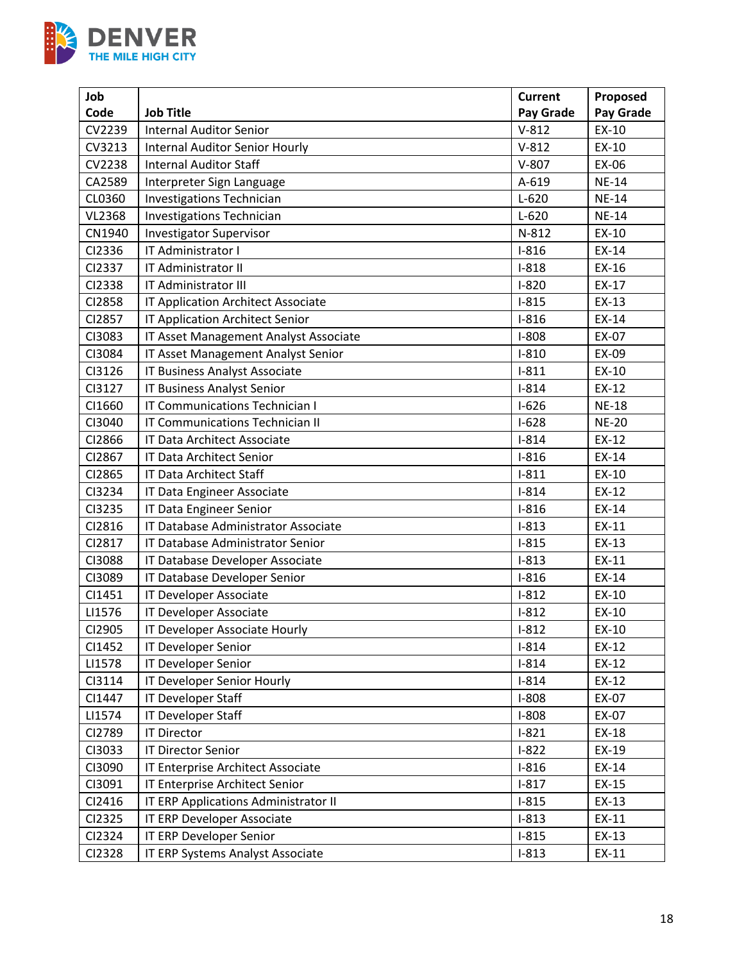

| Job    |                                       | <b>Current</b> | Proposed     |
|--------|---------------------------------------|----------------|--------------|
| Code   | <b>Job Title</b>                      | Pay Grade      | Pay Grade    |
| CV2239 | <b>Internal Auditor Senior</b>        | $V-812$        | EX-10        |
| CV3213 | <b>Internal Auditor Senior Hourly</b> | $V-812$        | EX-10        |
| CV2238 | <b>Internal Auditor Staff</b>         | $V-807$        | EX-06        |
| CA2589 | Interpreter Sign Language             | A-619          | <b>NE-14</b> |
| CL0360 | <b>Investigations Technician</b>      | $L-620$        | <b>NE-14</b> |
| VL2368 | <b>Investigations Technician</b>      | $L-620$        | <b>NE-14</b> |
| CN1940 | <b>Investigator Supervisor</b>        | N-812          | EX-10        |
| CI2336 | IT Administrator I                    | $I-816$        | EX-14        |
| CI2337 | IT Administrator II                   | $I-818$        | EX-16        |
| CI2338 | IT Administrator III                  | $I-820$        | EX-17        |
| CI2858 | IT Application Architect Associate    | $I-815$        | EX-13        |
| CI2857 | IT Application Architect Senior       | $I-816$        | EX-14        |
| CI3083 | IT Asset Management Analyst Associate | $I-808$        | EX-07        |
| CI3084 | IT Asset Management Analyst Senior    | $I-810$        | EX-09        |
| CI3126 | IT Business Analyst Associate         | $I-811$        | EX-10        |
| CI3127 | IT Business Analyst Senior            | $I-814$        | EX-12        |
| CI1660 | <b>IT Communications Technician I</b> | $I-626$        | <b>NE-18</b> |
| CI3040 | IT Communications Technician II       | $I-628$        | <b>NE-20</b> |
| CI2866 | IT Data Architect Associate           | $I-814$        | EX-12        |
| CI2867 | IT Data Architect Senior              | $I-816$        | EX-14        |
| CI2865 | <b>IT Data Architect Staff</b>        | $I-811$        | EX-10        |
| CI3234 | IT Data Engineer Associate            | $I-814$        | EX-12        |
| CI3235 | IT Data Engineer Senior               | $I-816$        | EX-14        |
| CI2816 | IT Database Administrator Associate   | $I-813$        | EX-11        |
| CI2817 | IT Database Administrator Senior      | $I-815$        | EX-13        |
| CI3088 | IT Database Developer Associate       | $I-813$        | EX-11        |
| CI3089 | IT Database Developer Senior          | $I-816$        | EX-14        |
| CI1451 | IT Developer Associate                | $I-812$        | EX-10        |
| LI1576 | IT Developer Associate                | $I-812$        | EX-10        |
| CI2905 | IT Developer Associate Hourly         | $I-812$        | EX-10        |
| CI1452 | IT Developer Senior                   | $I-814$        | EX-12        |
| LI1578 | IT Developer Senior                   | $I-814$        | EX-12        |
| CI3114 | IT Developer Senior Hourly            | $I-814$        | EX-12        |
| CI1447 | IT Developer Staff                    | $I-808$        | EX-07        |
| LI1574 | IT Developer Staff                    | $I-808$        | EX-07        |
| CI2789 | <b>IT Director</b>                    | $I-821$        | EX-18        |
| CI3033 | <b>IT Director Senior</b>             | $I-822$        | EX-19        |
| CI3090 | IT Enterprise Architect Associate     | $I-816$        | EX-14        |
| CI3091 | IT Enterprise Architect Senior        | $I-817$        | EX-15        |
| CI2416 | IT ERP Applications Administrator II  | $I-815$        | $EX-13$      |
| CI2325 | IT ERP Developer Associate            | $I-813$        | EX-11        |
| CI2324 | IT ERP Developer Senior               | $I-815$        | EX-13        |
| CI2328 | IT ERP Systems Analyst Associate      | $I-813$        | EX-11        |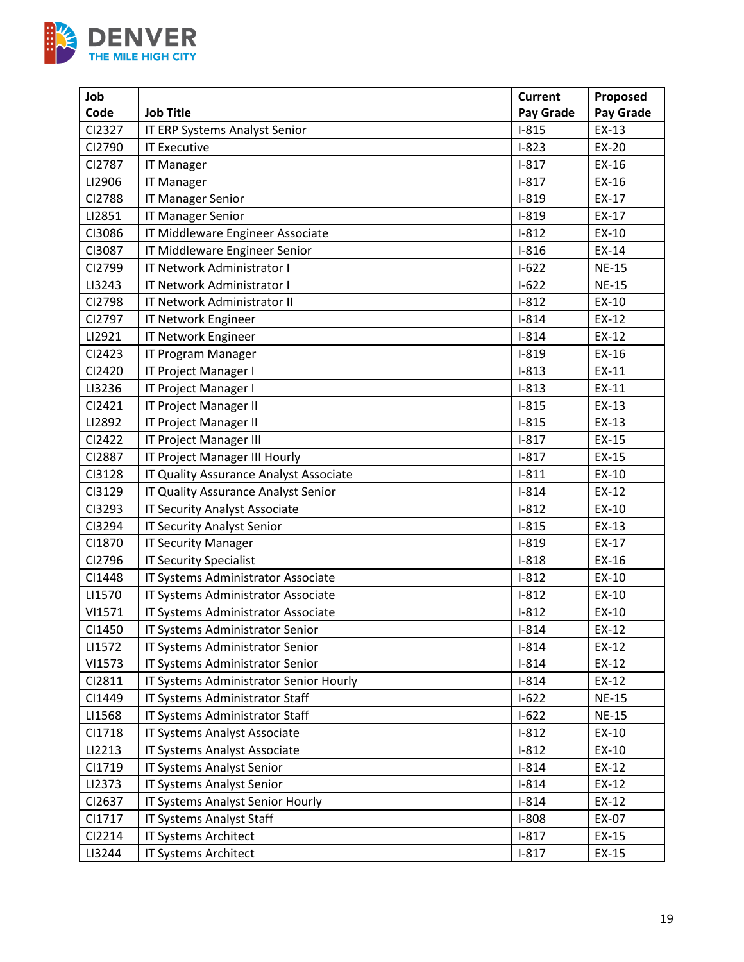

| Job    |                                        | <b>Current</b> | Proposed     |
|--------|----------------------------------------|----------------|--------------|
| Code   | <b>Job Title</b>                       | Pay Grade      | Pay Grade    |
| CI2327 | IT ERP Systems Analyst Senior          | $I-815$        | EX-13        |
| CI2790 | <b>IT Executive</b>                    | $I-823$        | EX-20        |
| CI2787 | <b>IT Manager</b>                      | $I-817$        | EX-16        |
| LI2906 | <b>IT Manager</b>                      | $I-817$        | EX-16        |
| CI2788 | <b>IT Manager Senior</b>               | $I-819$        | EX-17        |
| LI2851 | <b>IT Manager Senior</b>               | $I-819$        | EX-17        |
| CI3086 | IT Middleware Engineer Associate       | $I-812$        | EX-10        |
| CI3087 | IT Middleware Engineer Senior          | $I-816$        | EX-14        |
| CI2799 | IT Network Administrator I             | $I-622$        | <b>NE-15</b> |
| LI3243 | IT Network Administrator I             | $1-622$        | <b>NE-15</b> |
| CI2798 | IT Network Administrator II            | $I-812$        | EX-10        |
| CI2797 | IT Network Engineer                    | $I-814$        | EX-12        |
| LI2921 | IT Network Engineer                    | $I-814$        | EX-12        |
| CI2423 | IT Program Manager                     | $I-819$        | EX-16        |
| CI2420 | IT Project Manager I                   | $I-813$        | EX-11        |
| LI3236 | IT Project Manager I                   | $I-813$        | EX-11        |
| CI2421 | IT Project Manager II                  | $I-815$        | EX-13        |
| LI2892 | IT Project Manager II                  | $I-815$        | EX-13        |
| CI2422 | IT Project Manager III                 | $I-817$        | EX-15        |
| CI2887 | IT Project Manager III Hourly          | $I-817$        | EX-15        |
| CI3128 | IT Quality Assurance Analyst Associate | $I-811$        | EX-10        |
| CI3129 | IT Quality Assurance Analyst Senior    | $I-814$        | EX-12        |
| CI3293 | IT Security Analyst Associate          | $I-812$        | EX-10        |
| CI3294 | <b>IT Security Analyst Senior</b>      | $I-815$        | EX-13        |
| CI1870 | <b>IT Security Manager</b>             | $I-819$        | EX-17        |
| CI2796 | <b>IT Security Specialist</b>          | $I-818$        | EX-16        |
| CI1448 | IT Systems Administrator Associate     | $I-812$        | EX-10        |
| LI1570 | IT Systems Administrator Associate     | $I-812$        | EX-10        |
| VI1571 | IT Systems Administrator Associate     | $I-812$        | EX-10        |
| CI1450 | IT Systems Administrator Senior        | $I-814$        | $EX-12$      |
| LI1572 | IT Systems Administrator Senior        | $I-814$        | EX-12        |
| VI1573 | IT Systems Administrator Senior        | $I-814$        | EX-12        |
| CI2811 | IT Systems Administrator Senior Hourly | $I-814$        | EX-12        |
| CI1449 | IT Systems Administrator Staff         | $1-622$        | <b>NE-15</b> |
| LI1568 | IT Systems Administrator Staff         | $I-622$        | <b>NE-15</b> |
| CI1718 | IT Systems Analyst Associate           | $I-812$        | EX-10        |
| LI2213 | IT Systems Analyst Associate           | $I-812$        | EX-10        |
| CI1719 | IT Systems Analyst Senior              | $I-814$        | EX-12        |
| LI2373 | IT Systems Analyst Senior              | $I-814$        | EX-12        |
| CI2637 | IT Systems Analyst Senior Hourly       | $I-814$        | EX-12        |
| CI1717 | IT Systems Analyst Staff               | $I-808$        | EX-07        |
| CI2214 | IT Systems Architect                   | $I-817$        | EX-15        |
| LI3244 | IT Systems Architect                   | $I-817$        | EX-15        |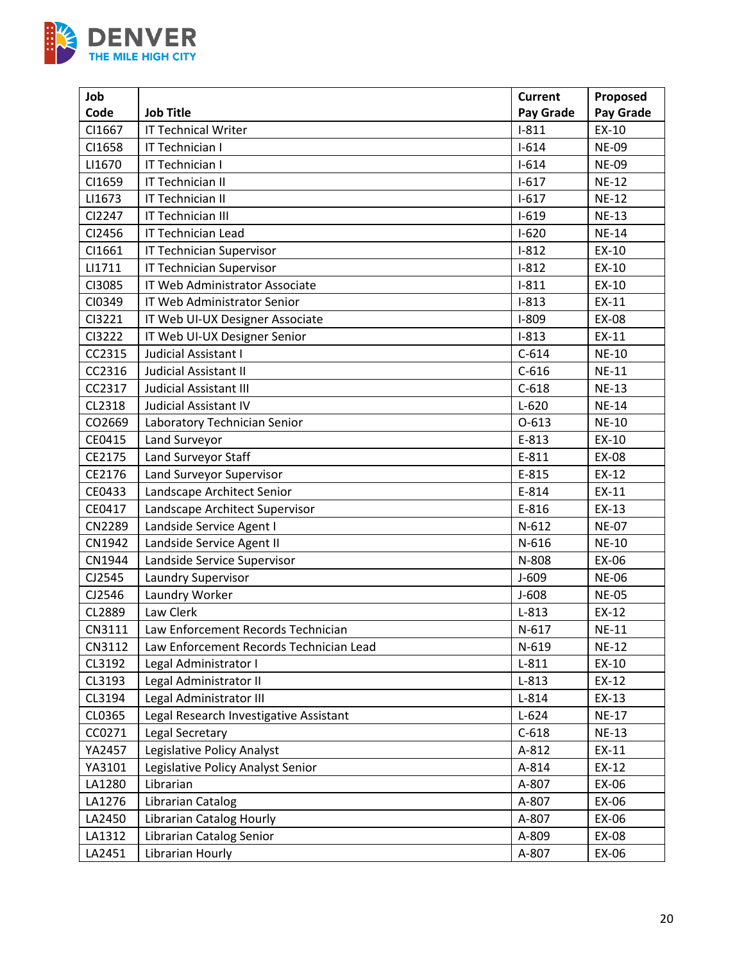

| Job    |                                         | <b>Current</b> | Proposed     |
|--------|-----------------------------------------|----------------|--------------|
| Code   | <b>Job Title</b>                        | Pay Grade      | Pay Grade    |
| CI1667 | <b>IT Technical Writer</b>              | $I-811$        | $EX-10$      |
| CI1658 | IT Technician I                         | $I - 614$      | <b>NE-09</b> |
| LI1670 | IT Technician I                         | $I - 614$      | <b>NE-09</b> |
| CI1659 | IT Technician II                        | $I-617$        | <b>NE-12</b> |
| LI1673 | IT Technician II                        | $I-617$        | <b>NE-12</b> |
| CI2247 | IT Technician III                       | $I-619$        | <b>NE-13</b> |
| CI2456 | <b>IT Technician Lead</b>               | $I-620$        | <b>NE-14</b> |
| CI1661 | <b>IT Technician Supervisor</b>         | $I-812$        | EX-10        |
| LI1711 | <b>IT Technician Supervisor</b>         | $I-812$        | EX-10        |
| CI3085 | IT Web Administrator Associate          | $I-811$        | EX-10        |
| CI0349 | IT Web Administrator Senior             | $I-813$        | EX-11        |
| CI3221 | IT Web UI-UX Designer Associate         | $I-809$        | EX-08        |
| CI3222 | IT Web UI-UX Designer Senior            | $I-813$        | EX-11        |
| CC2315 | Judicial Assistant I                    | $C-614$        | <b>NE-10</b> |
| CC2316 | Judicial Assistant II                   | $C-616$        | <b>NE-11</b> |
| CC2317 | <b>Judicial Assistant III</b>           | $C-618$        | <b>NE-13</b> |
| CL2318 | <b>Judicial Assistant IV</b>            | $L-620$        | <b>NE-14</b> |
| CO2669 | Laboratory Technician Senior            | $O-613$        | <b>NE-10</b> |
| CE0415 | Land Surveyor                           | E-813          | EX-10        |
| CE2175 | Land Surveyor Staff                     | $E-811$        | EX-08        |
| CE2176 | Land Surveyor Supervisor                | E-815          | EX-12        |
| CE0433 | Landscape Architect Senior              | E-814          | EX-11        |
| CE0417 | Landscape Architect Supervisor          | E-816          | EX-13        |
| CN2289 | Landside Service Agent I                | $N-612$        | <b>NE-07</b> |
| CN1942 | Landside Service Agent II               | N-616          | <b>NE-10</b> |
| CN1944 | Landside Service Supervisor             | N-808          | EX-06        |
| CJ2545 | Laundry Supervisor                      | $J-609$        | <b>NE-06</b> |
| CJ2546 | Laundry Worker                          | $J-608$        | <b>NE-05</b> |
| CL2889 | Law Clerk                               | $L-813$        | EX-12        |
| CN3111 | Law Enforcement Records Technician      | $N-617$        | <b>NE-11</b> |
| CN3112 | Law Enforcement Records Technician Lead | N-619          | <b>NE-12</b> |
| CL3192 | Legal Administrator I                   | $L-811$        | EX-10        |
| CL3193 | Legal Administrator II                  | $L-813$        | EX-12        |
| CL3194 | Legal Administrator III                 | $L-814$        | EX-13        |
| CL0365 | Legal Research Investigative Assistant  | $L-624$        | <b>NE-17</b> |
| CC0271 | Legal Secretary                         | $C-618$        | <b>NE-13</b> |
| YA2457 | Legislative Policy Analyst              | A-812          | EX-11        |
| YA3101 | Legislative Policy Analyst Senior       | A-814          | EX-12        |
| LA1280 | Librarian                               | A-807          | EX-06        |
| LA1276 | Librarian Catalog                       | A-807          | EX-06        |
| LA2450 | <b>Librarian Catalog Hourly</b>         | A-807          | EX-06        |
| LA1312 | Librarian Catalog Senior                | A-809          | EX-08        |
| LA2451 | Librarian Hourly                        | A-807          | EX-06        |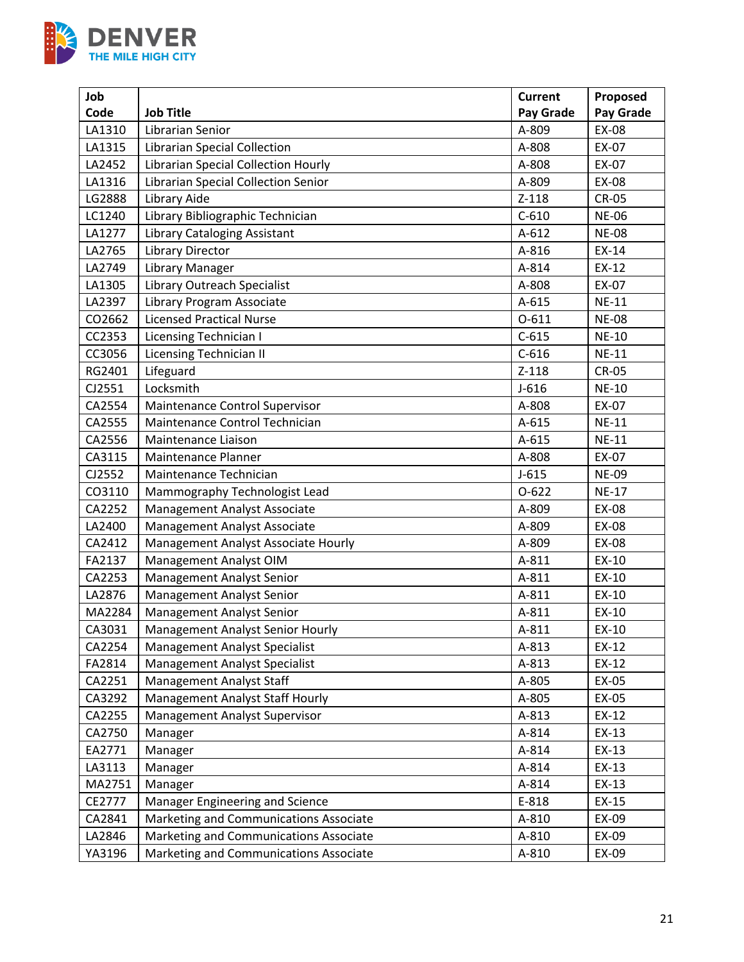

| Job    |                                        | <b>Current</b> | Proposed     |
|--------|----------------------------------------|----------------|--------------|
| Code   | <b>Job Title</b>                       | Pay Grade      | Pay Grade    |
| LA1310 | Librarian Senior                       | A-809          | <b>EX-08</b> |
| LA1315 | Librarian Special Collection           | A-808          | EX-07        |
| LA2452 | Librarian Special Collection Hourly    | A-808          | EX-07        |
| LA1316 | Librarian Special Collection Senior    | A-809          | EX-08        |
| LG2888 | Library Aide                           | $Z-118$        | <b>CR-05</b> |
| LC1240 | Library Bibliographic Technician       | $C-610$        | <b>NE-06</b> |
| LA1277 | <b>Library Cataloging Assistant</b>    | $A-612$        | <b>NE-08</b> |
| LA2765 | Library Director                       | A-816          | $EX-14$      |
| LA2749 | Library Manager                        | A-814          | EX-12        |
| LA1305 | Library Outreach Specialist            | A-808          | EX-07        |
| LA2397 | Library Program Associate              | A-615          | <b>NE-11</b> |
| CO2662 | <b>Licensed Practical Nurse</b>        | $0 - 611$      | <b>NE-08</b> |
| CC2353 | <b>Licensing Technician I</b>          | $C-615$        | <b>NE-10</b> |
| CC3056 | <b>Licensing Technician II</b>         | $C-616$        | <b>NE-11</b> |
| RG2401 | Lifeguard                              | $Z-118$        | <b>CR-05</b> |
| CJ2551 | Locksmith                              | $J-616$        | <b>NE-10</b> |
| CA2554 | Maintenance Control Supervisor         | A-808          | EX-07        |
| CA2555 | Maintenance Control Technician         | A-615          | <b>NE-11</b> |
| CA2556 | Maintenance Liaison                    | $A-615$        | <b>NE-11</b> |
| CA3115 | Maintenance Planner                    | A-808          | EX-07        |
| CJ2552 | Maintenance Technician                 | $J-615$        | <b>NE-09</b> |
| CO3110 | Mammography Technologist Lead          | $0 - 622$      | <b>NE-17</b> |
| CA2252 | Management Analyst Associate           | A-809          | EX-08        |
| LA2400 | Management Analyst Associate           | A-809          | EX-08        |
| CA2412 | Management Analyst Associate Hourly    | A-809          | EX-08        |
| FA2137 | Management Analyst OIM                 | A-811          | EX-10        |
| CA2253 | Management Analyst Senior              | A-811          | EX-10        |
| LA2876 | <b>Management Analyst Senior</b>       | A-811          | EX-10        |
| MA2284 | Management Analyst Senior              | A-811          | EX-10        |
| CA3031 | Management Analyst Senior Hourly       | A-811          | EX-10        |
| CA2254 | Management Analyst Specialist          | A-813          | EX-12        |
| FA2814 | <b>Management Analyst Specialist</b>   | A-813          | EX-12        |
| CA2251 | <b>Management Analyst Staff</b>        | A-805          | EX-05        |
| CA3292 | Management Analyst Staff Hourly        | A-805          | EX-05        |
| CA2255 | Management Analyst Supervisor          | A-813          | EX-12        |
| CA2750 | Manager                                | A-814          | EX-13        |
| EA2771 | Manager                                | A-814          | EX-13        |
| LA3113 | Manager                                | A-814          | EX-13        |
| MA2751 | Manager                                | A-814          | EX-13        |
| CE2777 | Manager Engineering and Science        | E-818          | EX-15        |
| CA2841 | Marketing and Communications Associate | A-810          | EX-09        |
| LA2846 | Marketing and Communications Associate | A-810          | EX-09        |
| YA3196 | Marketing and Communications Associate | A-810          | EX-09        |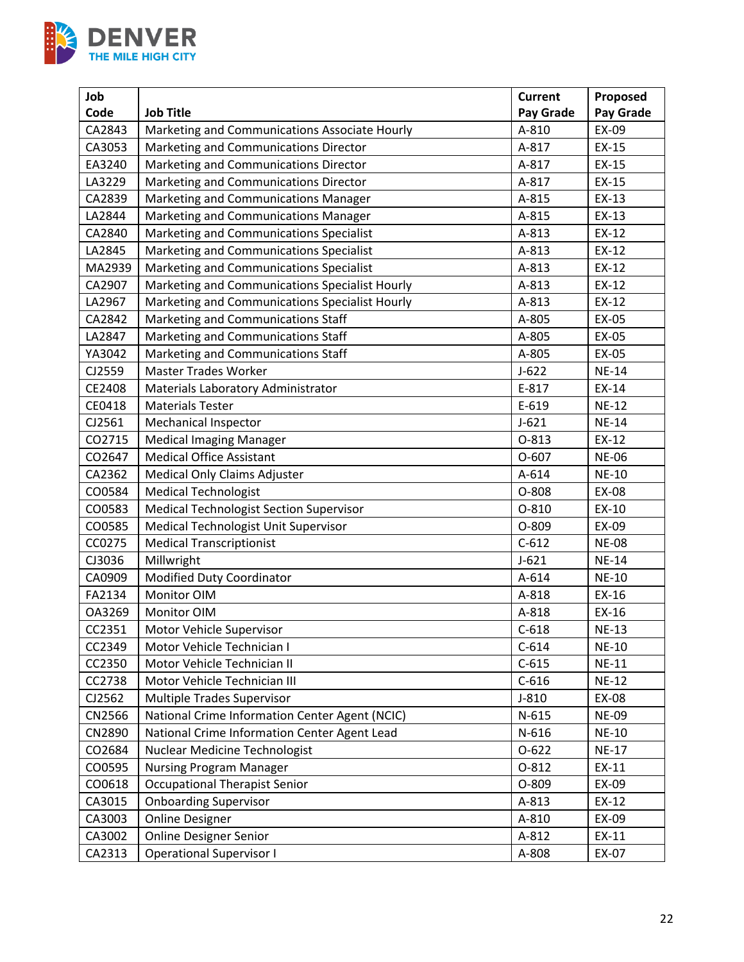

| Job    |                                                | <b>Current</b> | Proposed     |
|--------|------------------------------------------------|----------------|--------------|
| Code   | <b>Job Title</b>                               | Pay Grade      | Pay Grade    |
| CA2843 | Marketing and Communications Associate Hourly  | A-810          | EX-09        |
| CA3053 | Marketing and Communications Director          | A-817          | EX-15        |
| EA3240 | Marketing and Communications Director          | A-817          | EX-15        |
| LA3229 | Marketing and Communications Director          | A-817          | EX-15        |
| CA2839 | Marketing and Communications Manager           | A-815          | $EX-13$      |
| LA2844 | Marketing and Communications Manager           | A-815          | $EX-13$      |
| CA2840 | Marketing and Communications Specialist        | A-813          | EX-12        |
| LA2845 | Marketing and Communications Specialist        | A-813          | EX-12        |
| MA2939 | Marketing and Communications Specialist        | A-813          | EX-12        |
| CA2907 | Marketing and Communications Specialist Hourly | A-813          | EX-12        |
| LA2967 | Marketing and Communications Specialist Hourly | A-813          | EX-12        |
| CA2842 | Marketing and Communications Staff             | A-805          | EX-05        |
| LA2847 | Marketing and Communications Staff             | A-805          | EX-05        |
| YA3042 | Marketing and Communications Staff             | A-805          | EX-05        |
| CJ2559 | <b>Master Trades Worker</b>                    | $J-622$        | <b>NE-14</b> |
| CE2408 | Materials Laboratory Administrator             | E-817          | EX-14        |
| CE0418 | <b>Materials Tester</b>                        | E-619          | <b>NE-12</b> |
| CJ2561 | <b>Mechanical Inspector</b>                    | $J - 621$      | <b>NE-14</b> |
| CO2715 | <b>Medical Imaging Manager</b>                 | $0 - 813$      | EX-12        |
| CO2647 | <b>Medical Office Assistant</b>                | $O-607$        | <b>NE-06</b> |
| CA2362 | Medical Only Claims Adjuster                   | A-614          | <b>NE-10</b> |
| CO0584 | <b>Medical Technologist</b>                    | O-808          | EX-08        |
| CO0583 | Medical Technologist Section Supervisor        | $0 - 810$      | EX-10        |
| CO0585 | Medical Technologist Unit Supervisor           | O-809          | EX-09        |
| CC0275 | <b>Medical Transcriptionist</b>                | $C-612$        | <b>NE-08</b> |
| CJ3036 | Millwright                                     | $J - 621$      | <b>NE-14</b> |
| CA0909 | Modified Duty Coordinator                      | A-614          | <b>NE-10</b> |
| FA2134 | Monitor OIM                                    | A-818          | EX-16        |
| OA3269 | Monitor OIM                                    | A-818          | EX-16        |
| CC2351 | Motor Vehicle Supervisor                       | $C-618$        | <b>NE-13</b> |
| CC2349 | Motor Vehicle Technician I                     | $C-614$        | <b>NE-10</b> |
| CC2350 | Motor Vehicle Technician II                    | $C-615$        | <b>NE-11</b> |
| CC2738 | Motor Vehicle Technician III                   | $C-616$        | <b>NE-12</b> |
| CJ2562 | Multiple Trades Supervisor                     | $J-810$        | EX-08        |
| CN2566 | National Crime Information Center Agent (NCIC) | $N-615$        | <b>NE-09</b> |
| CN2890 | National Crime Information Center Agent Lead   | N-616          | <b>NE-10</b> |
| CO2684 | <b>Nuclear Medicine Technologist</b>           | $O-622$        | <b>NE-17</b> |
| CO0595 | Nursing Program Manager                        | 0-812          | EX-11        |
| CO0618 | <b>Occupational Therapist Senior</b>           | O-809          | EX-09        |
| CA3015 | <b>Onboarding Supervisor</b>                   | A-813          | EX-12        |
| CA3003 | <b>Online Designer</b>                         | A-810          | EX-09        |
| CA3002 | <b>Online Designer Senior</b>                  | A-812          | EX-11        |
| CA2313 | <b>Operational Supervisor I</b>                | A-808          | EX-07        |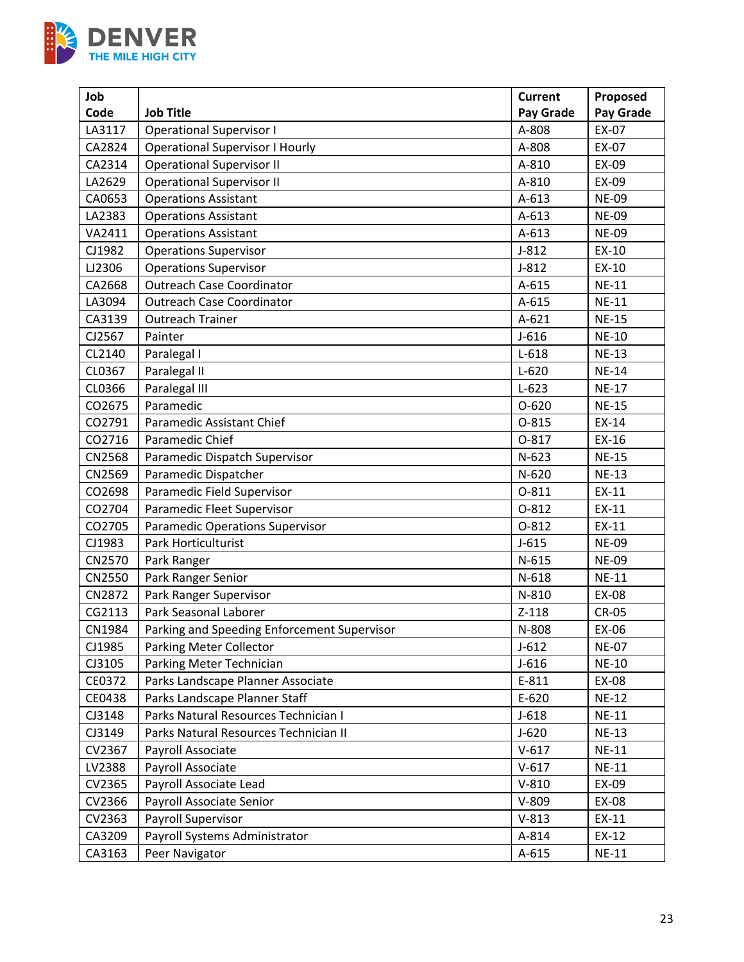

| Job    |                                             | <b>Current</b> | Proposed     |
|--------|---------------------------------------------|----------------|--------------|
| Code   | <b>Job Title</b>                            | Pay Grade      | Pay Grade    |
| LA3117 | <b>Operational Supervisor I</b>             | A-808          | EX-07        |
| CA2824 | <b>Operational Supervisor I Hourly</b>      | A-808          | EX-07        |
| CA2314 | <b>Operational Supervisor II</b>            | A-810          | EX-09        |
| LA2629 | <b>Operational Supervisor II</b>            | A-810          | EX-09        |
| CA0653 | <b>Operations Assistant</b>                 | $A-613$        | <b>NE-09</b> |
| LA2383 | <b>Operations Assistant</b>                 | $A-613$        | <b>NE-09</b> |
| VA2411 | <b>Operations Assistant</b>                 | $A-613$        | <b>NE-09</b> |
| CJ1982 | <b>Operations Supervisor</b>                | $J-812$        | EX-10        |
| LJ2306 | <b>Operations Supervisor</b>                | $J-812$        | EX-10        |
| CA2668 | <b>Outreach Case Coordinator</b>            | A-615          | <b>NE-11</b> |
| LA3094 | <b>Outreach Case Coordinator</b>            | A-615          | <b>NE-11</b> |
| CA3139 | <b>Outreach Trainer</b>                     | $A-621$        | <b>NE-15</b> |
| CJ2567 | Painter                                     | $J-616$        | <b>NE-10</b> |
| CL2140 | Paralegal I                                 | $L-618$        | <b>NE-13</b> |
| CL0367 | Paralegal II                                | $L - 620$      | <b>NE-14</b> |
| CL0366 | Paralegal III                               | $L-623$        | <b>NE-17</b> |
| CO2675 | Paramedic                                   | $O-620$        | <b>NE-15</b> |
| CO2791 | Paramedic Assistant Chief                   | $0 - 815$      | EX-14        |
| CO2716 | Paramedic Chief                             | 0-817          | EX-16        |
| CN2568 | Paramedic Dispatch Supervisor               | $N-623$        | <b>NE-15</b> |
| CN2569 | Paramedic Dispatcher                        | $N-620$        | <b>NE-13</b> |
| CO2698 | Paramedic Field Supervisor                  | 0-811          | EX-11        |
| CO2704 | Paramedic Fleet Supervisor                  | $O-812$        | EX-11        |
| CO2705 | <b>Paramedic Operations Supervisor</b>      | $0 - 812$      | EX-11        |
| CJ1983 | Park Horticulturist                         | $J-615$        | <b>NE-09</b> |
| CN2570 | Park Ranger                                 | $N-615$        | <b>NE-09</b> |
| CN2550 | Park Ranger Senior                          | $N-618$        | <b>NE-11</b> |
| CN2872 | Park Ranger Supervisor                      | N-810          | EX-08        |
| CG2113 | Park Seasonal Laborer                       | $Z-118$        | <b>CR-05</b> |
| CN1984 | Parking and Speeding Enforcement Supervisor | N-808          | EX-06        |
| CJ1985 | Parking Meter Collector                     | $J-612$        | <b>NE-07</b> |
| CJ3105 | Parking Meter Technician                    | $J-616$        | <b>NE-10</b> |
| CE0372 | Parks Landscape Planner Associate           | E-811          | EX-08        |
| CE0438 | Parks Landscape Planner Staff               | $E-620$        | <b>NE-12</b> |
| CJ3148 | Parks Natural Resources Technician I        | $J-618$        | <b>NE-11</b> |
| CJ3149 | Parks Natural Resources Technician II       | $J-620$        | <b>NE-13</b> |
| CV2367 | Payroll Associate                           | $V-617$        | <b>NE-11</b> |
| LV2388 | Payroll Associate                           | $V-617$        | <b>NE-11</b> |
| CV2365 | Payroll Associate Lead                      | $V-810$        | EX-09        |
| CV2366 | Payroll Associate Senior                    | $V-809$        | EX-08        |
| CV2363 | Payroll Supervisor                          | $V-813$        | EX-11        |
| CA3209 | Payroll Systems Administrator               | A-814          | EX-12        |
| CA3163 | Peer Navigator                              | A-615          | <b>NE-11</b> |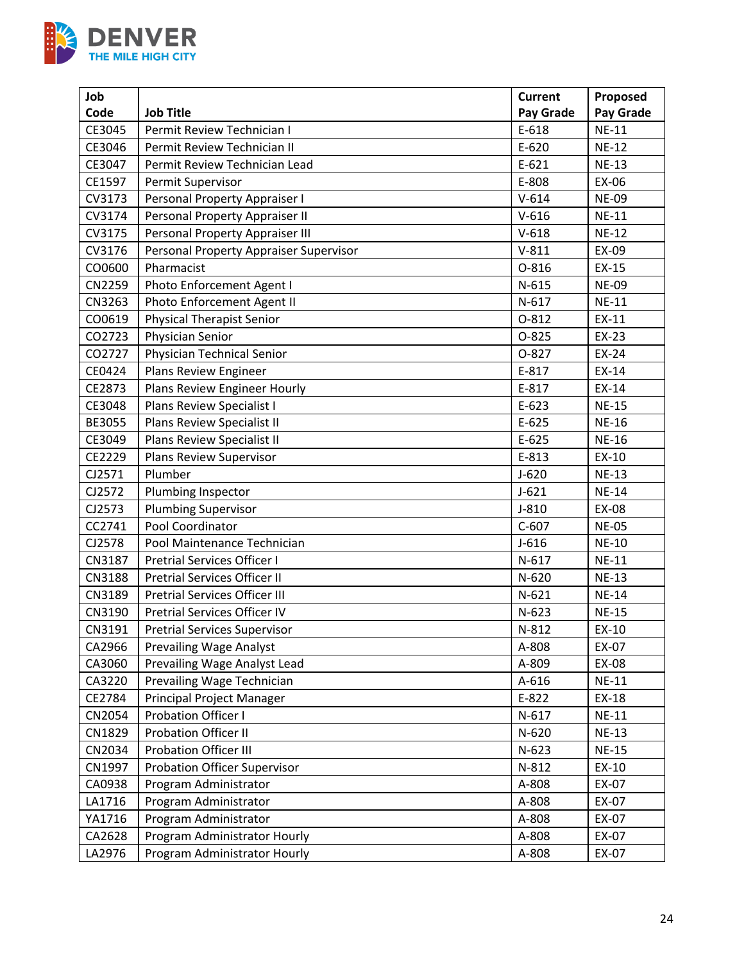

| Job    |                                        | <b>Current</b> | Proposed     |
|--------|----------------------------------------|----------------|--------------|
| Code   | <b>Job Title</b>                       | Pay Grade      | Pay Grade    |
| CE3045 | Permit Review Technician I             | E-618          | <b>NE-11</b> |
| CE3046 | Permit Review Technician II            | $E-620$        | <b>NE-12</b> |
| CE3047 | Permit Review Technician Lead          | $E-621$        | <b>NE-13</b> |
| CE1597 | Permit Supervisor                      | E-808          | EX-06        |
| CV3173 | Personal Property Appraiser I          | $V - 614$      | <b>NE-09</b> |
| CV3174 | Personal Property Appraiser II         | $V-616$        | $NE-11$      |
| CV3175 | Personal Property Appraiser III        | $V-618$        | <b>NE-12</b> |
| CV3176 | Personal Property Appraiser Supervisor | $V-811$        | EX-09        |
| CO0600 | Pharmacist                             | 0-816          | EX-15        |
| CN2259 | Photo Enforcement Agent I              | $N-615$        | <b>NE-09</b> |
| CN3263 | Photo Enforcement Agent II             | $N-617$        | <b>NE-11</b> |
| CO0619 | <b>Physical Therapist Senior</b>       | 0-812          | EX-11        |
| CO2723 | Physician Senior                       | $O-825$        | EX-23        |
| CO2727 | Physician Technical Senior             | $O-827$        | EX-24        |
| CE0424 | Plans Review Engineer                  | E-817          | EX-14        |
| CE2873 | Plans Review Engineer Hourly           | E-817          | EX-14        |
| CE3048 | Plans Review Specialist I              | $E-623$        | <b>NE-15</b> |
| BE3055 | <b>Plans Review Specialist II</b>      | $E-625$        | <b>NE-16</b> |
| CE3049 | Plans Review Specialist II             | $E-625$        | <b>NE-16</b> |
| CE2229 | Plans Review Supervisor                | E-813          | EX-10        |
| CJ2571 | Plumber                                | $J-620$        | <b>NE-13</b> |
| CJ2572 | Plumbing Inspector                     | $J-621$        | <b>NE-14</b> |
| CJ2573 | <b>Plumbing Supervisor</b>             | $J-810$        | EX-08        |
| CC2741 | Pool Coordinator                       | $C-607$        | <b>NE-05</b> |
| CJ2578 | Pool Maintenance Technician            | $J-616$        | <b>NE-10</b> |
| CN3187 | <b>Pretrial Services Officer I</b>     | $N-617$        | <b>NE-11</b> |
| CN3188 | Pretrial Services Officer II           | $N-620$        | <b>NE-13</b> |
| CN3189 | <b>Pretrial Services Officer III</b>   | $N-621$        | <b>NE-14</b> |
| CN3190 | Pretrial Services Officer IV           | $N-623$        | <b>NE-15</b> |
| CN3191 | <b>Pretrial Services Supervisor</b>    | N-812          | EX-10        |
| CA2966 | <b>Prevailing Wage Analyst</b>         | A-808          | EX-07        |
| CA3060 | Prevailing Wage Analyst Lead           | A-809          | EX-08        |
| CA3220 | Prevailing Wage Technician             | A-616          | <b>NE-11</b> |
| CE2784 | Principal Project Manager              | E-822          | EX-18        |
| CN2054 | <b>Probation Officer I</b>             | $N-617$        | <b>NE-11</b> |
| CN1829 | Probation Officer II                   | N-620          | <b>NE-13</b> |
| CN2034 | <b>Probation Officer III</b>           | $N-623$        | <b>NE-15</b> |
| CN1997 | Probation Officer Supervisor           | N-812          | EX-10        |
| CA0938 | Program Administrator                  | A-808          | EX-07        |
| LA1716 | Program Administrator                  | A-808          | EX-07        |
| YA1716 | Program Administrator                  | A-808          | EX-07        |
| CA2628 | Program Administrator Hourly           | A-808          | EX-07        |
| LA2976 | Program Administrator Hourly           | A-808          | EX-07        |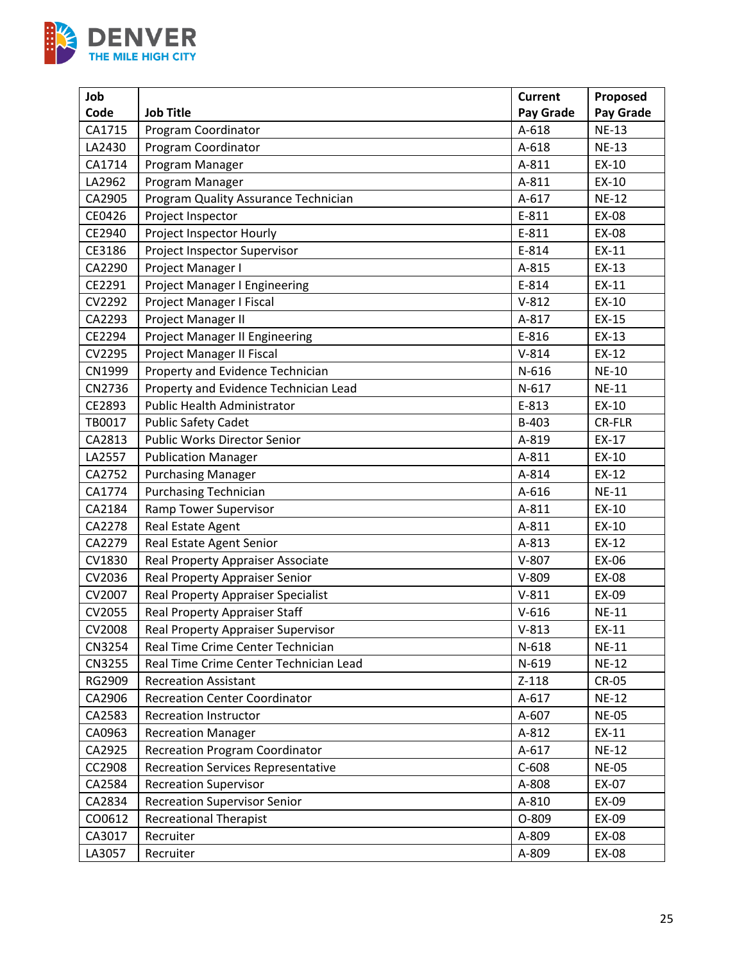

| Job           |                                           | <b>Current</b> | Proposed      |
|---------------|-------------------------------------------|----------------|---------------|
| Code          | <b>Job Title</b>                          | Pay Grade      | Pay Grade     |
| CA1715        | Program Coordinator                       | A-618          | $NE-13$       |
| LA2430        | Program Coordinator                       | A-618          | <b>NE-13</b>  |
| CA1714        | Program Manager                           | A-811          | EX-10         |
| LA2962        | Program Manager                           | A-811          | EX-10         |
| CA2905        | Program Quality Assurance Technician      | A-617          | <b>NE-12</b>  |
| CE0426        | Project Inspector                         | E-811          | EX-08         |
| CE2940        | Project Inspector Hourly                  | E-811          | EX-08         |
| CE3186        | Project Inspector Supervisor              | E-814          | EX-11         |
| CA2290        | Project Manager I                         | A-815          | EX-13         |
| CE2291        | Project Manager I Engineering             | E-814          | EX-11         |
| CV2292        | Project Manager I Fiscal                  | $V-812$        | EX-10         |
| CA2293        | Project Manager II                        | A-817          | EX-15         |
| CE2294        | <b>Project Manager II Engineering</b>     | E-816          | EX-13         |
| CV2295        | Project Manager II Fiscal                 | $V-814$        | EX-12         |
| CN1999        | Property and Evidence Technician          | N-616          | <b>NE-10</b>  |
| CN2736        | Property and Evidence Technician Lead     | $N-617$        | <b>NE-11</b>  |
| CE2893        | Public Health Administrator               | E-813          | EX-10         |
| TB0017        | <b>Public Safety Cadet</b>                | B-403          | <b>CR-FLR</b> |
| CA2813        | <b>Public Works Director Senior</b>       | A-819          | EX-17         |
| LA2557        | <b>Publication Manager</b>                | A-811          | EX-10         |
| CA2752        | <b>Purchasing Manager</b>                 | A-814          | EX-12         |
| CA1774        | <b>Purchasing Technician</b>              | A-616          | <b>NE-11</b>  |
| CA2184        | Ramp Tower Supervisor                     | A-811          | EX-10         |
| CA2278        | Real Estate Agent                         | A-811          | EX-10         |
| CA2279        | Real Estate Agent Senior                  | A-813          | EX-12         |
| CV1830        | Real Property Appraiser Associate         | $V-807$        | EX-06         |
| CV2036        | Real Property Appraiser Senior            | $V-809$        | EX-08         |
| CV2007        | <b>Real Property Appraiser Specialist</b> | $V-811$        | EX-09         |
| CV2055        | Real Property Appraiser Staff             | $V-616$        | <b>NE-11</b>  |
| <b>CV2008</b> | Real Property Appraiser Supervisor        | $V-813$        | EX-11         |
| <b>CN3254</b> | Real Time Crime Center Technician         | $N-618$        | <b>NE-11</b>  |
| CN3255        | Real Time Crime Center Technician Lead    | $N-619$        | <b>NE-12</b>  |
| RG2909        | <b>Recreation Assistant</b>               | $Z-118$        | <b>CR-05</b>  |
| CA2906        | <b>Recreation Center Coordinator</b>      | $A-617$        | <b>NE-12</b>  |
| CA2583        | <b>Recreation Instructor</b>              | A-607          | <b>NE-05</b>  |
| CA0963        | <b>Recreation Manager</b>                 | A-812          | EX-11         |
| CA2925        | <b>Recreation Program Coordinator</b>     | $A-617$        | <b>NE-12</b>  |
| CC2908        | <b>Recreation Services Representative</b> | $C-608$        | <b>NE-05</b>  |
| CA2584        | <b>Recreation Supervisor</b>              | A-808          | EX-07         |
| CA2834        | <b>Recreation Supervisor Senior</b>       | A-810          | EX-09         |
| CO0612        | <b>Recreational Therapist</b>             | O-809          | EX-09         |
| CA3017        | Recruiter                                 | A-809          | EX-08         |
| LA3057        | Recruiter                                 | A-809          | EX-08         |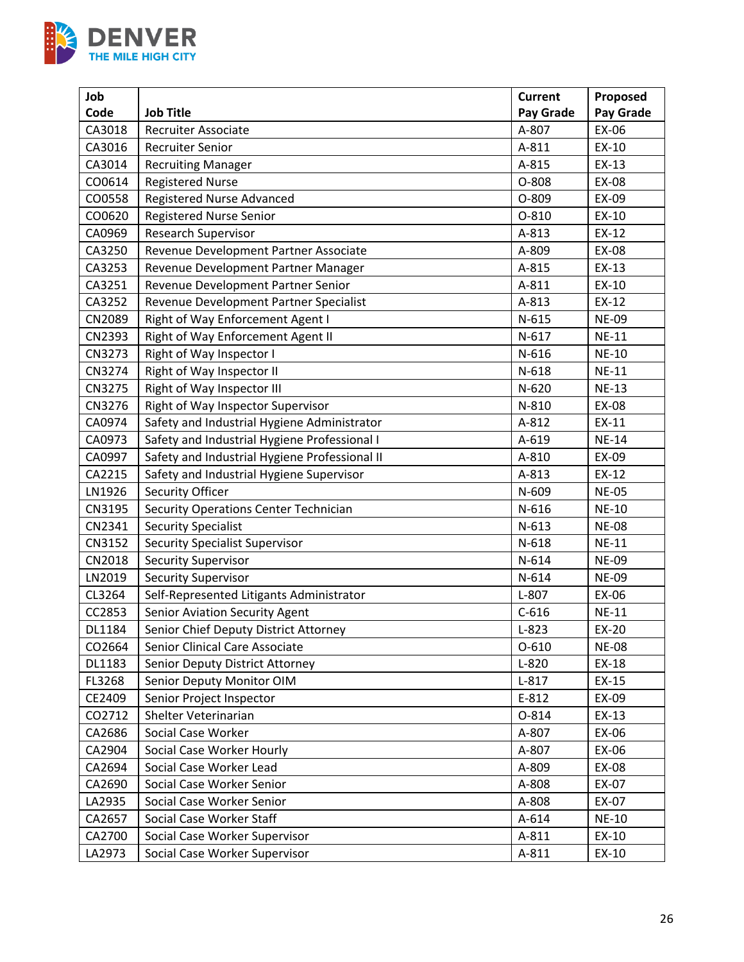

| Job    |                                               | <b>Current</b> | Proposed     |
|--------|-----------------------------------------------|----------------|--------------|
| Code   | <b>Job Title</b>                              | Pay Grade      | Pay Grade    |
| CA3018 | <b>Recruiter Associate</b>                    | A-807          | EX-06        |
| CA3016 | <b>Recruiter Senior</b>                       | A-811          | EX-10        |
| CA3014 | <b>Recruiting Manager</b>                     | A-815          | EX-13        |
| CO0614 | <b>Registered Nurse</b>                       | O-808          | EX-08        |
| CO0558 | Registered Nurse Advanced                     | O-809          | EX-09        |
| CO0620 | <b>Registered Nurse Senior</b>                | $O-810$        | EX-10        |
| CA0969 | <b>Research Supervisor</b>                    | A-813          | EX-12        |
| CA3250 | Revenue Development Partner Associate         | A-809          | EX-08        |
| CA3253 | Revenue Development Partner Manager           | A-815          | EX-13        |
| CA3251 | Revenue Development Partner Senior            | A-811          | EX-10        |
| CA3252 | Revenue Development Partner Specialist        | A-813          | EX-12        |
| CN2089 | Right of Way Enforcement Agent I              | $N-615$        | <b>NE-09</b> |
| CN2393 | Right of Way Enforcement Agent II             | $N-617$        | <b>NE-11</b> |
| CN3273 | Right of Way Inspector I                      | N-616          | <b>NE-10</b> |
| CN3274 | Right of Way Inspector II                     | $N-618$        | <b>NE-11</b> |
| CN3275 | Right of Way Inspector III                    | $N-620$        | <b>NE-13</b> |
| CN3276 | Right of Way Inspector Supervisor             | N-810          | EX-08        |
| CA0974 | Safety and Industrial Hygiene Administrator   | A-812          | EX-11        |
| CA0973 | Safety and Industrial Hygiene Professional I  | A-619          | <b>NE-14</b> |
| CA0997 | Safety and Industrial Hygiene Professional II | A-810          | EX-09        |
| CA2215 | Safety and Industrial Hygiene Supervisor      | A-813          | EX-12        |
| LN1926 | Security Officer                              | N-609          | <b>NE-05</b> |
| CN3195 | Security Operations Center Technician         | $N-616$        | <b>NE-10</b> |
| CN2341 | <b>Security Specialist</b>                    | $N-613$        | <b>NE-08</b> |
| CN3152 | <b>Security Specialist Supervisor</b>         | $N-618$        | <b>NE-11</b> |
| CN2018 | <b>Security Supervisor</b>                    | $N-614$        | <b>NE-09</b> |
| LN2019 | <b>Security Supervisor</b>                    | $N-614$        | <b>NE-09</b> |
| CL3264 | Self-Represented Litigants Administrator      | $L-807$        | EX-06        |
| CC2853 | <b>Senior Aviation Security Agent</b>         | $C-616$        | <b>NE-11</b> |
| DL1184 | Senior Chief Deputy District Attorney         | $L-823$        | EX-20        |
| CO2664 | Senior Clinical Care Associate                | $O-610$        | <b>NE-08</b> |
| DL1183 | Senior Deputy District Attorney               | $L-820$        | EX-18        |
| FL3268 | Senior Deputy Monitor OIM                     | $L-817$        | EX-15        |
| CE2409 | Senior Project Inspector                      | E-812          | EX-09        |
| CO2712 | Shelter Veterinarian                          | 0-814          | $EX-13$      |
| CA2686 | Social Case Worker                            | A-807          | EX-06        |
| CA2904 | Social Case Worker Hourly                     | A-807          | EX-06        |
| CA2694 | Social Case Worker Lead                       | A-809          | EX-08        |
| CA2690 | Social Case Worker Senior                     | A-808          | EX-07        |
| LA2935 | Social Case Worker Senior                     | A-808          | EX-07        |
| CA2657 | Social Case Worker Staff                      | A-614          | <b>NE-10</b> |
| CA2700 | Social Case Worker Supervisor                 | A-811          | EX-10        |
| LA2973 | Social Case Worker Supervisor                 | $A-811$        | EX-10        |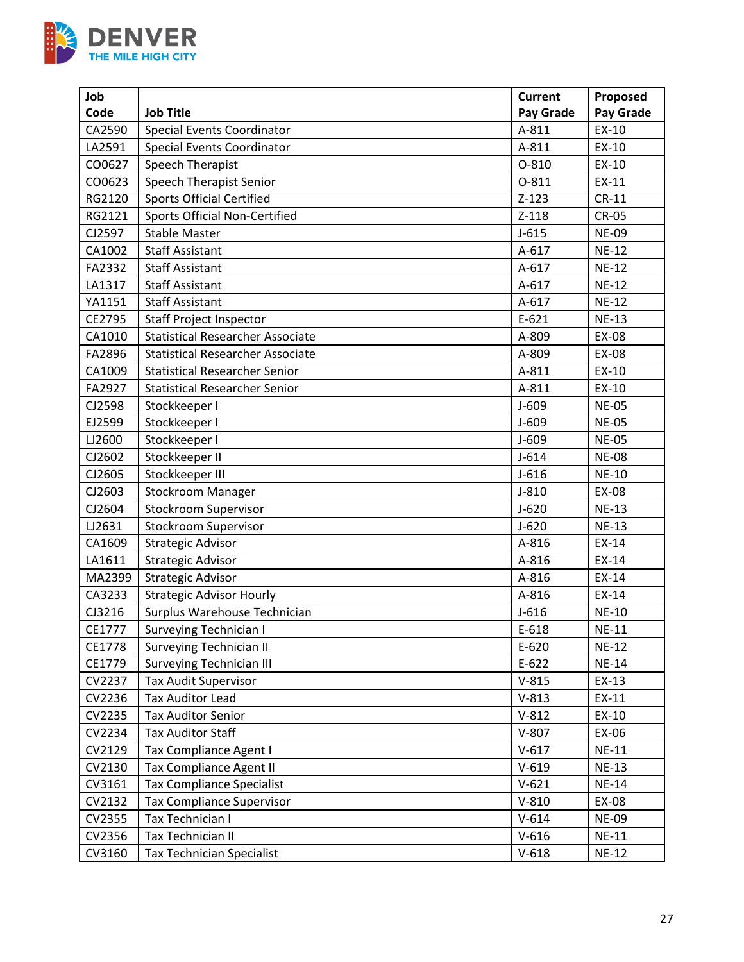

| Job    |                                         | <b>Current</b> | Proposed     |
|--------|-----------------------------------------|----------------|--------------|
| Code   | <b>Job Title</b>                        | Pay Grade      | Pay Grade    |
| CA2590 | <b>Special Events Coordinator</b>       | A-811          | EX-10        |
| LA2591 | <b>Special Events Coordinator</b>       | A-811          | EX-10        |
| CO0627 | Speech Therapist                        | $O-810$        | EX-10        |
| CO0623 | <b>Speech Therapist Senior</b>          | O-811          | EX-11        |
| RG2120 | <b>Sports Official Certified</b>        | $Z-123$        | $CR-11$      |
| RG2121 | <b>Sports Official Non-Certified</b>    | $Z-118$        | <b>CR-05</b> |
| CJ2597 | <b>Stable Master</b>                    | $J-615$        | <b>NE-09</b> |
| CA1002 | <b>Staff Assistant</b>                  | $A-617$        | <b>NE-12</b> |
| FA2332 | <b>Staff Assistant</b>                  | $A-617$        | <b>NE-12</b> |
| LA1317 | <b>Staff Assistant</b>                  | A-617          | <b>NE-12</b> |
| YA1151 | <b>Staff Assistant</b>                  | $A-617$        | <b>NE-12</b> |
| CE2795 | <b>Staff Project Inspector</b>          | $E-621$        | <b>NE-13</b> |
| CA1010 | <b>Statistical Researcher Associate</b> | A-809          | <b>EX-08</b> |
| FA2896 | <b>Statistical Researcher Associate</b> | A-809          | EX-08        |
| CA1009 | <b>Statistical Researcher Senior</b>    | A-811          | EX-10        |
| FA2927 | <b>Statistical Researcher Senior</b>    | A-811          | EX-10        |
| CJ2598 | Stockkeeper I                           | $J-609$        | <b>NE-05</b> |
| EJ2599 | Stockkeeper I                           | $J - 609$      | <b>NE-05</b> |
| LJ2600 | Stockkeeper I                           | $J-609$        | <b>NE-05</b> |
| CJ2602 | Stockkeeper II                          | $J - 614$      | <b>NE-08</b> |
| CJ2605 | Stockkeeper III                         | $J-616$        | <b>NE-10</b> |
| CJ2603 | Stockroom Manager                       | $J-810$        | EX-08        |
| CJ2604 | <b>Stockroom Supervisor</b>             | $J-620$        | <b>NE-13</b> |
| LJ2631 | <b>Stockroom Supervisor</b>             | $J-620$        | <b>NE-13</b> |
| CA1609 | <b>Strategic Advisor</b>                | A-816          | EX-14        |
| LA1611 | <b>Strategic Advisor</b>                | A-816          | EX-14        |
| MA2399 | <b>Strategic Advisor</b>                | A-816          | EX-14        |
| CA3233 | <b>Strategic Advisor Hourly</b>         | A-816          | EX-14        |
| CJ3216 | Surplus Warehouse Technician            | $J-616$        | <b>NE-10</b> |
| CE1777 | Surveying Technician I                  | E-618          | <b>NE-11</b> |
| CE1778 | <b>Surveying Technician II</b>          | $E-620$        | <b>NE-12</b> |
| CE1779 | <b>Surveying Technician III</b>         | $E-622$        | <b>NE-14</b> |
| CV2237 | <b>Tax Audit Supervisor</b>             | $V-815$        | EX-13        |
| CV2236 | <b>Tax Auditor Lead</b>                 | $V-813$        | EX-11        |
| CV2235 | <b>Tax Auditor Senior</b>               | $V-812$        | EX-10        |
| CV2234 | <b>Tax Auditor Staff</b>                | $V-807$        | EX-06        |
| CV2129 | Tax Compliance Agent I                  | $V-617$        | <b>NE-11</b> |
| CV2130 | <b>Tax Compliance Agent II</b>          | $V-619$        | <b>NE-13</b> |
| CV3161 | <b>Tax Compliance Specialist</b>        | $V-621$        | <b>NE-14</b> |
| CV2132 | <b>Tax Compliance Supervisor</b>        | $V-810$        | EX-08        |
| CV2355 | Tax Technician I                        | $V-614$        | <b>NE-09</b> |
| CV2356 | Tax Technician II                       | $V-616$        | <b>NE-11</b> |
| CV3160 | <b>Tax Technician Specialist</b>        | $V-618$        | <b>NE-12</b> |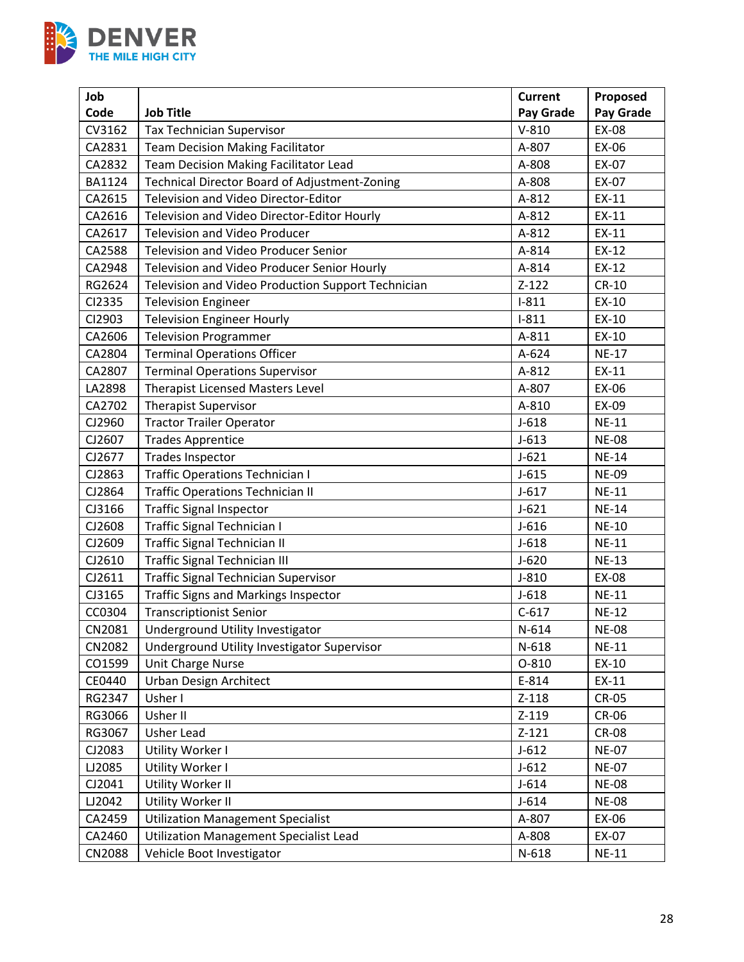

| Job           |                                                    | <b>Current</b> | Proposed         |
|---------------|----------------------------------------------------|----------------|------------------|
| Code          | <b>Job Title</b>                                   | Pay Grade      | <b>Pay Grade</b> |
| CV3162        | <b>Tax Technician Supervisor</b>                   | $V-810$        | EX-08            |
| CA2831        | <b>Team Decision Making Facilitator</b>            | A-807          | EX-06            |
| CA2832        | Team Decision Making Facilitator Lead              | A-808          | EX-07            |
| <b>BA1124</b> | Technical Director Board of Adjustment-Zoning      | A-808          | EX-07            |
| CA2615        | Television and Video Director-Editor               | A-812          | EX-11            |
| CA2616        | Television and Video Director-Editor Hourly        | A-812          | EX-11            |
| CA2617        | <b>Television and Video Producer</b>               | A-812          | EX-11            |
| CA2588        | Television and Video Producer Senior               | A-814          | EX-12            |
| CA2948        | Television and Video Producer Senior Hourly        | A-814          | EX-12            |
| RG2624        | Television and Video Production Support Technician | $Z-122$        | <b>CR-10</b>     |
| CI2335        | <b>Television Engineer</b>                         | $I-811$        | EX-10            |
| CI2903        | <b>Television Engineer Hourly</b>                  | $I-811$        | EX-10            |
| CA2606        | <b>Television Programmer</b>                       | A-811          | EX-10            |
| CA2804        | <b>Terminal Operations Officer</b>                 | A-624          | <b>NE-17</b>     |
| CA2807        | <b>Terminal Operations Supervisor</b>              | A-812          | EX-11            |
| LA2898        | <b>Therapist Licensed Masters Level</b>            | A-807          | EX-06            |
| CA2702        | Therapist Supervisor                               | A-810          | EX-09            |
| CJ2960        | <b>Tractor Trailer Operator</b>                    | $J-618$        | <b>NE-11</b>     |
| CJ2607        | <b>Trades Apprentice</b>                           | $J-613$        | <b>NE-08</b>     |
| CJ2677        | <b>Trades Inspector</b>                            | $J-621$        | <b>NE-14</b>     |
| CJ2863        | <b>Traffic Operations Technician I</b>             | $J-615$        | <b>NE-09</b>     |
| CJ2864        | <b>Traffic Operations Technician II</b>            | $J-617$        | <b>NE-11</b>     |
| CJ3166        | <b>Traffic Signal Inspector</b>                    | $J-621$        | <b>NE-14</b>     |
| CJ2608        | <b>Traffic Signal Technician I</b>                 | $J-616$        | <b>NE-10</b>     |
| CJ2609        | Traffic Signal Technician II                       | $J-618$        | <b>NE-11</b>     |
| CJ2610        | <b>Traffic Signal Technician III</b>               | $J-620$        | <b>NE-13</b>     |
| CJ2611        | <b>Traffic Signal Technician Supervisor</b>        | $J-810$        | EX-08            |
| CJ3165        | <b>Traffic Signs and Markings Inspector</b>        | $J-618$        | $NE-11$          |
| CC0304        | <b>Transcriptionist Senior</b>                     | $C-617$        | <b>NE-12</b>     |
| CN2081        | Underground Utility Investigator                   | N-614          | <b>NE-08</b>     |
| CN2082        | Underground Utility Investigator Supervisor        | N-618          | <b>NE-11</b>     |
| CO1599        | Unit Charge Nurse                                  | O-810          | EX-10            |
| CE0440        | Urban Design Architect                             | E-814          | EX-11            |
| RG2347        | Usher I                                            | $Z-118$        | CR-05            |
| RG3066        | Usher II                                           | $Z-119$        | CR-06            |
| RG3067        | Usher Lead                                         | $Z-121$        | <b>CR-08</b>     |
| CJ2083        | Utility Worker I                                   | $J-612$        | <b>NE-07</b>     |
| LJ2085        | Utility Worker I                                   | $J - 612$      | <b>NE-07</b>     |
| CJ2041        | Utility Worker II                                  | $J-614$        | <b>NE-08</b>     |
| LJ2042        | Utility Worker II                                  | $J-614$        | <b>NE-08</b>     |
| CA2459        | <b>Utilization Management Specialist</b>           | A-807          | EX-06            |
| CA2460        | <b>Utilization Management Specialist Lead</b>      | A-808          | EX-07            |
| CN2088        | Vehicle Boot Investigator                          | $N-618$        | <b>NE-11</b>     |